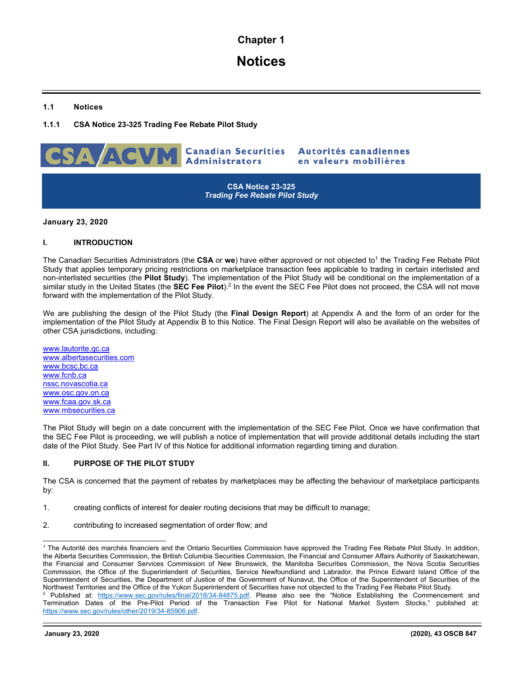**Chapter 1**

**Notices** 

## **1.1 Notices**

## **1.1.1 CSA Notice 23-325 Trading Fee Rebate Pilot Study**



**Canadian Securities Administrators** 

Autorités canadiennes en valeurs mobilières

**CSA Notice 23-325** *Trading Fee Rebate Pilot Study* 

**January 23, 2020** 

## **I. INTRODUCTION**

The Canadian Securities Administrators (the **CSA** or we) have either approved or not objected to<sup>1</sup> the Trading Fee Rebate Pilot Study that applies temporary pricing restrictions on marketplace transaction fees applicable to trading in certain interlisted and non-interlisted securities (the **Pilot Study**). The implementation of the Pilot Study will be conditional on the implementation of a similar study in the United States (the **SEC Fee Pilot**).2 In the event the SEC Fee Pilot does not proceed, the CSA will not move forward with the implementation of the Pilot Study.

We are publishing the design of the Pilot Study (the **Final Design Report**) at Appendix A and the form of an order for the implementation of the Pilot Study at Appendix B to this Notice. The Final Design Report will also be available on the websites of other CSA jurisdictions, including:

www.lautorite.qc.ca www.albertasecurities.com www.bcsc.bc.ca www.fcnb.ca nssc.novascotia.ca www.osc.gov.on.ca www.fcaa.gov.sk.ca www.mbsecurities.ca

The Pilot Study will begin on a date concurrent with the implementation of the SEC Fee Pilot. Once we have confirmation that the SEC Fee Pilot is proceeding, we will publish a notice of implementation that will provide additional details including the start date of the Pilot Study. See Part IV of this Notice for additional information regarding timing and duration.

## **II. PURPOSE OF THE PILOT STUDY**

The CSA is concerned that the payment of rebates by marketplaces may be affecting the behaviour of marketplace participants by:

- 1. creating conflicts of interest for dealer routing decisions that may be difficult to manage;
- 2. contributing to increased segmentation of order flow; and

l <sup>1</sup> The Autorité des marchés financiers and the Ontario Securities Commission have approved the Trading Fee Rebate Pilot Study. In addition, the Alberta Securities Commission, the British Columbia Securities Commission, the Financial and Consumer Affairs Authority of Saskatchewan, the Financial and Consumer Services Commission of New Brunswick, the Manitoba Securities Commission, the Nova Scotia Securities Commission, the Office of the Superintendent of Securities, Service Newfoundland and Labrador, the Prince Edward Island Office of the Superintendent of Securities, the Department of Justice of the Government of Nunavut, the Office of the Superintendent of Securities of the Northwest Territories and the Office of the Yukon Superintendent of Securities have not objected to the Trading Fee Rebate Pilot Study. 2

Published at: https://www.sec.gov/rules/final/2018/34-84875.pdf. Please also see the "Notice Establishing the Commencement and Termination Dates of the Pre-Pilot Period of the Transaction Fee Pilot for National Market System Stocks," published at: https://www.sec.gov/rules/other/2019/34-85906.pdf.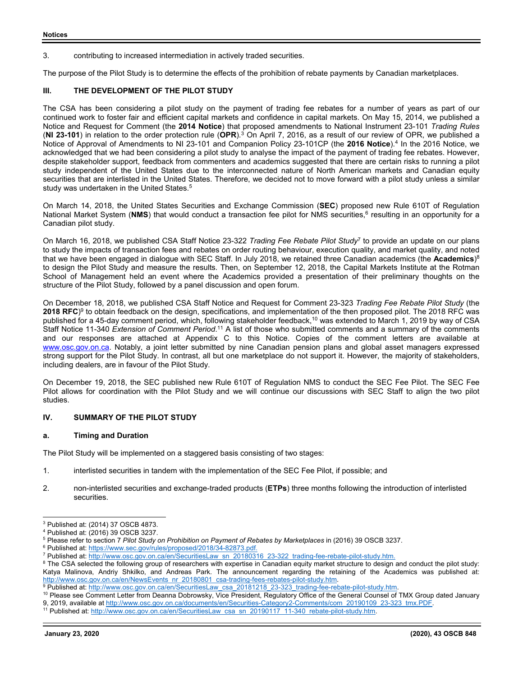#### 3. contributing to increased intermediation in actively traded securities.

The purpose of the Pilot Study is to determine the effects of the prohibition of rebate payments by Canadian marketplaces.

## **III. THE DEVELOPMENT OF THE PILOT STUDY**

The CSA has been considering a pilot study on the payment of trading fee rebates for a number of years as part of our continued work to foster fair and efficient capital markets and confidence in capital markets. On May 15, 2014, we published a Notice and Request for Comment (the **2014 Notice**) that proposed amendments to National Instrument 23-101 *Trading Rules* (**NI 23-101**) in relation to the order protection rule (**OPR**).3 On April 7, 2016, as a result of our review of OPR, we published a Notice of Approval of Amendments to NI 23-101 and Companion Policy 23-101CP (the **2016 Notice**).4 In the 2016 Notice, we acknowledged that we had been considering a pilot study to analyse the impact of the payment of trading fee rebates. However, despite stakeholder support, feedback from commenters and academics suggested that there are certain risks to running a pilot study independent of the United States due to the interconnected nature of North American markets and Canadian equity securities that are interlisted in the United States. Therefore, we decided not to move forward with a pilot study unless a similar study was undertaken in the United States.<sup>5</sup>

On March 14, 2018, the United States Securities and Exchange Commission (**SEC**) proposed new Rule 610T of Regulation National Market System (**NMS**) that would conduct a transaction fee pilot for NMS securities, 6 resulting in an opportunity for a Canadian pilot study.

On March 16, 2018, we published CSA Staff Notice 23-322 *Trading Fee Rebate Pilot Study*7 to provide an update on our plans to study the impacts of transaction fees and rebates on order routing behaviour, execution quality, and market quality, and noted that we have been engaged in dialogue with SEC Staff. In July 2018, we retained three Canadian academics (the **Academics**) 8 to design the Pilot Study and measure the results. Then, on September 12, 2018, the Capital Markets Institute at the Rotman School of Management held an event where the Academics provided a presentation of their preliminary thoughts on the structure of the Pilot Study, followed by a panel discussion and open forum.

On December 18, 2018, we published CSA Staff Notice and Request for Comment 23-323 *Trading Fee Rebate Pilot Study* (the **2018 RFC**)9 to obtain feedback on the design, specifications, and implementation of the then proposed pilot. The 2018 RFC was published for a 45-day comment period, which, following stakeholder feedback,<sup>10</sup> was extended to March 1, 2019 by way of CSA Staff Notice 11-340 *Extension of Comment Period*.<sup>11</sup> A list of those who submitted comments and a summary of the comments and our responses are attached at Appendix C to this Notice. Copies of the comment letters are available at www.osc.gov.on.ca. Notably, a joint letter submitted by nine Canadian pension plans and global asset managers expressed strong support for the Pilot Study. In contrast, all but one marketplace do not support it. However, the majority of stakeholders, including dealers, are in favour of the Pilot Study.

On December 19, 2018, the SEC published new Rule 610T of Regulation NMS to conduct the SEC Fee Pilot. The SEC Fee Pilot allows for coordination with the Pilot Study and we will continue our discussions with SEC Staff to align the two pilot studies.

## **IV. SUMMARY OF THE PILOT STUDY**

#### **a. Timing and Duration**

The Pilot Study will be implemented on a staggered basis consisting of two stages:

- 1. interlisted securities in tandem with the implementation of the SEC Fee Pilot, if possible; and
- 2. non-interlisted securities and exchange-traded products (**ETPs**) three months following the introduction of interlisted securities.

<sup>3</sup> Published at: (2014) 37 OSCB 4873.

<sup>4</sup> Published at: (2016) 39 OSCB 3237.

<sup>&</sup>lt;sup>5</sup> Please refer to section 7 *Pilot Study on Prohibition on Payment of Rebates by Marketplaces* in (2016) 39 OSCB 3237.<br><sup>6</sup> Published at: https://www.sec.gov/rules/proposed/2018/34-82873 pdf.

<sup>&</sup>lt;sup>6</sup> Published at: https://www.sec.gov/rules/proposed/2018/34-82873.pdf.

<sup>&</sup>lt;sup>7</sup> Published at: http://www.osc.gov.on.ca/en/SecuritiesLaw\_sn\_20180316\_23-322\_trading-fee-rebate-pilot-study.htm.

<sup>&</sup>lt;sup>8</sup> The CSA selected the following group of researchers with expertise in Canadian equity market structure to design and conduct the pilot study: Katya Malinova, Andriy Shkilko, and Andreas Park. The announcement regarding the retaining of the Academics was published at: http://www.osc.gov.on.ca/en/NewsEvents\_nr\_20180801\_csa-trading-fees-rebates-pilot-study.htm.<br>9 Published at: http://www.osc.gov.on.ca/en/SecuritiesLaw\_csa\_20181218\_23-323\_trading-fee-rebate-pilot-study.htm

<sup>&</sup>lt;sup>10</sup> Please see Comment Letter from Deanna Dobrowsky, Vice President, Regulatory Office of the General Counsel of TMX Group dated January

<sup>9, 2019,</sup> available at <u>http://www.osc.gov.on.ca/documents/en/Securities-Category2-Comments/com\_20190109\_23-323\_tmx.PDF.</u><br><sup>11</sup> Published at: <u>http://www.osc.gov.on.ca/en/SecuritiesLaw\_csa\_sn\_20190117\_11-340\_rebate-pilot-stu</u>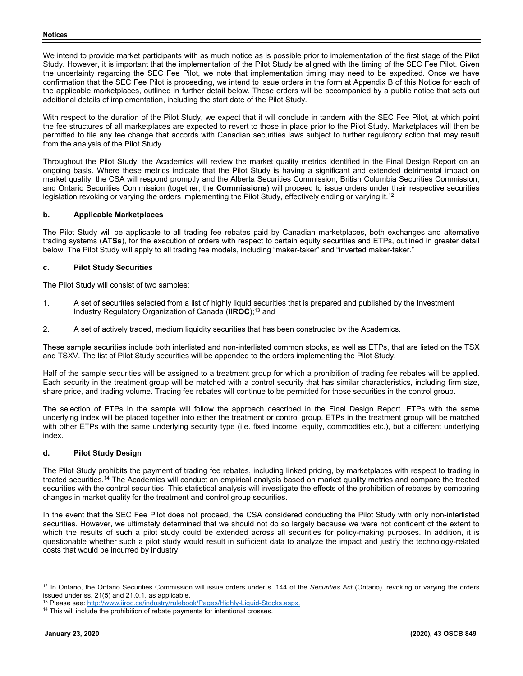We intend to provide market participants with as much notice as is possible prior to implementation of the first stage of the Pilot Study. However, it is important that the implementation of the Pilot Study be aligned with the timing of the SEC Fee Pilot. Given the uncertainty regarding the SEC Fee Pilot, we note that implementation timing may need to be expedited. Once we have confirmation that the SEC Fee Pilot is proceeding, we intend to issue orders in the form at Appendix B of this Notice for each of the applicable marketplaces, outlined in further detail below. These orders will be accompanied by a public notice that sets out additional details of implementation, including the start date of the Pilot Study.

With respect to the duration of the Pilot Study, we expect that it will conclude in tandem with the SEC Fee Pilot, at which point the fee structures of all marketplaces are expected to revert to those in place prior to the Pilot Study. Marketplaces will then be permitted to file any fee change that accords with Canadian securities laws subject to further regulatory action that may result from the analysis of the Pilot Study.

Throughout the Pilot Study, the Academics will review the market quality metrics identified in the Final Design Report on an ongoing basis. Where these metrics indicate that the Pilot Study is having a significant and extended detrimental impact on market quality, the CSA will respond promptly and the Alberta Securities Commission, British Columbia Securities Commission, and Ontario Securities Commission (together, the **Commissions**) will proceed to issue orders under their respective securities legislation revoking or varying the orders implementing the Pilot Study, effectively ending or varying it.12

## **b. Applicable Marketplaces**

The Pilot Study will be applicable to all trading fee rebates paid by Canadian marketplaces, both exchanges and alternative trading systems (**ATSs**), for the execution of orders with respect to certain equity securities and ETPs, outlined in greater detail below. The Pilot Study will apply to all trading fee models, including "maker-taker" and "inverted maker-taker."

## **c. Pilot Study Securities**

The Pilot Study will consist of two samples:

- 1. A set of securities selected from a list of highly liquid securities that is prepared and published by the Investment Industry Regulatory Organization of Canada (**IIROC**);13 and
- 2. A set of actively traded, medium liquidity securities that has been constructed by the Academics.

These sample securities include both interlisted and non-interlisted common stocks, as well as ETPs, that are listed on the TSX and TSXV. The list of Pilot Study securities will be appended to the orders implementing the Pilot Study.

Half of the sample securities will be assigned to a treatment group for which a prohibition of trading fee rebates will be applied. Each security in the treatment group will be matched with a control security that has similar characteristics, including firm size, share price, and trading volume. Trading fee rebates will continue to be permitted for those securities in the control group.

The selection of ETPs in the sample will follow the approach described in the Final Design Report. ETPs with the same underlying index will be placed together into either the treatment or control group. ETPs in the treatment group will be matched with other ETPs with the same underlying security type (i.e. fixed income, equity, commodities etc.), but a different underlying index.

## **d. Pilot Study Design**

The Pilot Study prohibits the payment of trading fee rebates, including linked pricing, by marketplaces with respect to trading in treated securities.14 The Academics will conduct an empirical analysis based on market quality metrics and compare the treated securities with the control securities. This statistical analysis will investigate the effects of the prohibition of rebates by comparing changes in market quality for the treatment and control group securities.

In the event that the SEC Fee Pilot does not proceed, the CSA considered conducting the Pilot Study with only non-interlisted securities. However, we ultimately determined that we should not do so largely because we were not confident of the extent to which the results of such a pilot study could be extended across all securities for policy-making purposes. In addition, it is questionable whether such a pilot study would result in sufficient data to analyze the impact and justify the technology-related costs that would be incurred by industry.

<sup>12</sup> In Ontario, the Ontario Securities Commission will issue orders under s. 144 of the *Securities Act* (Ontario), revoking or varying the orders issued under ss. 21(5) and 21.0.1, as applicable.

<sup>&</sup>lt;sup>13</sup> Please see: http://www.iiroc.ca/industry/rulebook/Pages/Highly-Liquid-Stocks.aspx.

 $14$  This will include the prohibition of rebate payments for intentional crosses.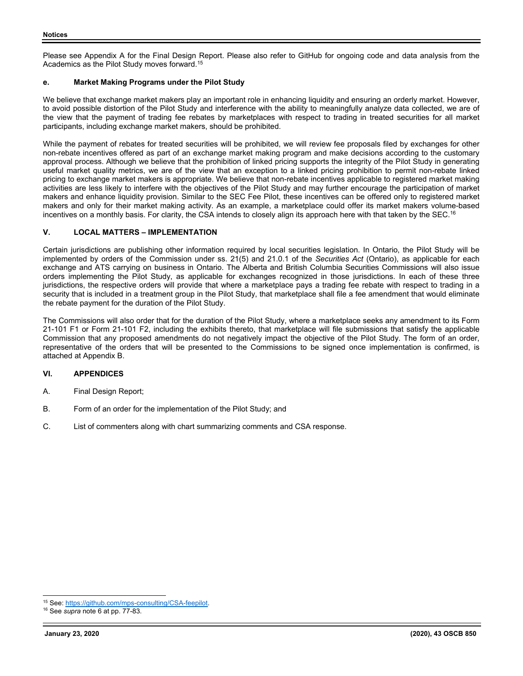Please see Appendix A for the Final Design Report. Please also refer to GitHub for ongoing code and data analysis from the Academics as the Pilot Study moves forward.15

## **e. Market Making Programs under the Pilot Study**

We believe that exchange market makers play an important role in enhancing liquidity and ensuring an orderly market. However, to avoid possible distortion of the Pilot Study and interference with the ability to meaningfully analyze data collected, we are of the view that the payment of trading fee rebates by marketplaces with respect to trading in treated securities for all market participants, including exchange market makers, should be prohibited.

While the payment of rebates for treated securities will be prohibited, we will review fee proposals filed by exchanges for other non-rebate incentives offered as part of an exchange market making program and make decisions according to the customary approval process. Although we believe that the prohibition of linked pricing supports the integrity of the Pilot Study in generating useful market quality metrics, we are of the view that an exception to a linked pricing prohibition to permit non-rebate linked pricing to exchange market makers is appropriate. We believe that non-rebate incentives applicable to registered market making activities are less likely to interfere with the objectives of the Pilot Study and may further encourage the participation of market makers and enhance liquidity provision. Similar to the SEC Fee Pilot, these incentives can be offered only to registered market makers and only for their market making activity. As an example, a marketplace could offer its market makers volume-based incentives on a monthly basis. For clarity, the CSA intends to closely align its approach here with that taken by the SEC.<sup>16</sup>

## **V. LOCAL MATTERS – IMPLEMENTATION**

Certain jurisdictions are publishing other information required by local securities legislation. In Ontario, the Pilot Study will be implemented by orders of the Commission under ss. 21(5) and 21.0.1 of the *Securities Act* (Ontario), as applicable for each exchange and ATS carrying on business in Ontario. The Alberta and British Columbia Securities Commissions will also issue orders implementing the Pilot Study, as applicable for exchanges recognized in those jurisdictions. In each of these three jurisdictions, the respective orders will provide that where a marketplace pays a trading fee rebate with respect to trading in a security that is included in a treatment group in the Pilot Study, that marketplace shall file a fee amendment that would eliminate the rebate payment for the duration of the Pilot Study.

The Commissions will also order that for the duration of the Pilot Study, where a marketplace seeks any amendment to its Form 21-101 F1 or Form 21-101 F2, including the exhibits thereto, that marketplace will file submissions that satisfy the applicable Commission that any proposed amendments do not negatively impact the objective of the Pilot Study. The form of an order, representative of the orders that will be presented to the Commissions to be signed once implementation is confirmed, is attached at Appendix B.

## **VI. APPENDICES**

- A. Final Design Report;
- B. Form of an order for the implementation of the Pilot Study; and
- C. List of commenters along with chart summarizing comments and CSA response.

l 15 See: https://github.com/mps-consulting/CSA-feepilot. 16 See *supra* note 6 at pp. 77-83.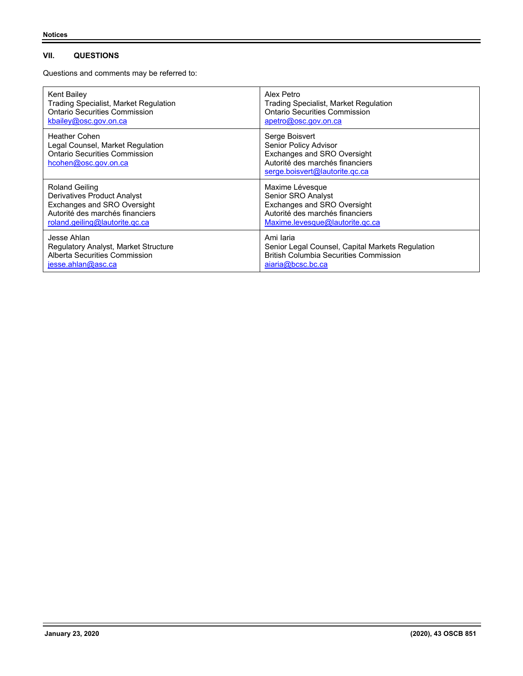## **VII. QUESTIONS**

Questions and comments may be referred to:

| Kent Bailey                                                                                                       | Alex Petro                                                                                                                                  |
|-------------------------------------------------------------------------------------------------------------------|---------------------------------------------------------------------------------------------------------------------------------------------|
| <b>Trading Specialist, Market Regulation</b>                                                                      | <b>Trading Specialist, Market Regulation</b>                                                                                                |
| Ontario Securities Commission                                                                                     | Ontario Securities Commission                                                                                                               |
| kbailey@osc.gov.on.ca                                                                                             | apetro@osc.gov.on.ca                                                                                                                        |
| <b>Heather Cohen</b><br>Legal Counsel, Market Regulation<br>Ontario Securities Commission<br>hcohen@osc.gov.on.ca | Serge Boisvert<br>Senior Policy Advisor<br>Exchanges and SRO Oversight<br>Autorité des marchés financiers<br>serge.boisvert@lautorite.gc.ca |
| Roland Geiling                                                                                                    | Maxime Lévesque                                                                                                                             |
| Derivatives Product Analyst                                                                                       | Senior SRO Analyst                                                                                                                          |
| Exchanges and SRO Oversight                                                                                       | Exchanges and SRO Oversight                                                                                                                 |
| Autorité des marchés financiers                                                                                   | Autorité des marchés financiers                                                                                                             |
| roland.geiling@lautorite.gc.ca                                                                                    | Maxime.levesque@lautorite.gc.ca                                                                                                             |
| Jesse Ahlan                                                                                                       | Ami laria                                                                                                                                   |
| Regulatory Analyst, Market Structure                                                                              | Senior Legal Counsel, Capital Markets Regulation                                                                                            |
| Alberta Securities Commission                                                                                     | <b>British Columbia Securities Commission</b>                                                                                               |
| iesse. a hlan@asc.ca                                                                                              | aiaria@bcsc.bc.ca                                                                                                                           |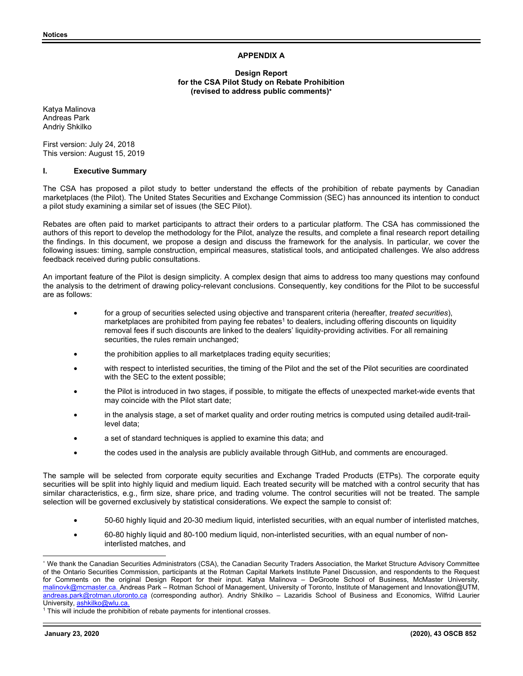### **APPENDIX A**

**Design Report for the CSA Pilot Study on Rebate Prohibition (revised to address public comments)**<sup>∗</sup>

Katya Malinova Andreas Park Andriy Shkilko

First version: July 24, 2018 This version: August 15, 2019

## **I. Executive Summary**

The CSA has proposed a pilot study to better understand the effects of the prohibition of rebate payments by Canadian marketplaces (the Pilot). The United States Securities and Exchange Commission (SEC) has announced its intention to conduct a pilot study examining a similar set of issues (the SEC Pilot).

Rebates are often paid to market participants to attract their orders to a particular platform. The CSA has commissioned the authors of this report to develop the methodology for the Pilot, analyze the results, and complete a final research report detailing the findings. In this document, we propose a design and discuss the framework for the analysis. In particular, we cover the following issues: timing, sample construction, empirical measures, statistical tools, and anticipated challenges. We also address feedback received during public consultations.

An important feature of the Pilot is design simplicity. A complex design that aims to address too many questions may confound the analysis to the detriment of drawing policy-relevant conclusions. Consequently, key conditions for the Pilot to be successful are as follows:

- for a group of securities selected using objective and transparent criteria (hereafter, *treated securities*), marketplaces are prohibited from paying fee rebates<sup>1</sup> to dealers, including offering discounts on liquidity removal fees if such discounts are linked to the dealers' liquidity-providing activities. For all remaining securities, the rules remain unchanged;
- the prohibition applies to all marketplaces trading equity securities;
- with respect to interlisted securities, the timing of the Pilot and the set of the Pilot securities are coordinated with the SEC to the extent possible;
- the Pilot is introduced in two stages, if possible, to mitigate the effects of unexpected market-wide events that may coincide with the Pilot start date;
- in the analysis stage, a set of market quality and order routing metrics is computed using detailed audit-traillevel data;
- a set of standard techniques is applied to examine this data; and
- the codes used in the analysis are publicly available through GitHub, and comments are encouraged.

The sample will be selected from corporate equity securities and Exchange Traded Products (ETPs). The corporate equity securities will be split into highly liquid and medium liquid. Each treated security will be matched with a control security that has similar characteristics, e.g., firm size, share price, and trading volume. The control securities will not be treated. The sample selection will be governed exclusively by statistical considerations. We expect the sample to consist of:

- 50-60 highly liquid and 20-30 medium liquid, interlisted securities, with an equal number of interlisted matches,
- 60-80 highly liquid and 80-100 medium liquid, non-interlisted securities, with an equal number of noninterlisted matches, and

<sup>∗</sup> We thank the Canadian Securities Administrators (CSA), the Canadian Security Traders Association, the Market Structure Advisory Committee of the Ontario Securities Commission, participants at the Rotman Capital Markets Institute Panel Discussion, and respondents to the Request for Comments on the original Design Report for their input. Katya Malinova – DeGroote School of Business, McMaster University, malinovk@mcmaster.ca. Andreas Park - Rotman School of Management, University of Toronto, Institute of Management and Innovation@UTM, andreas.park@rotman.utoronto.ca (corresponding author). Andriy Shkilko – Lazaridis School of Business and Economics, Wilfrid Laurier University, ashkilko@wlu.ca.

<sup>&</sup>lt;sup>1</sup> This will include the prohibition of rebate payments for intentional crosses.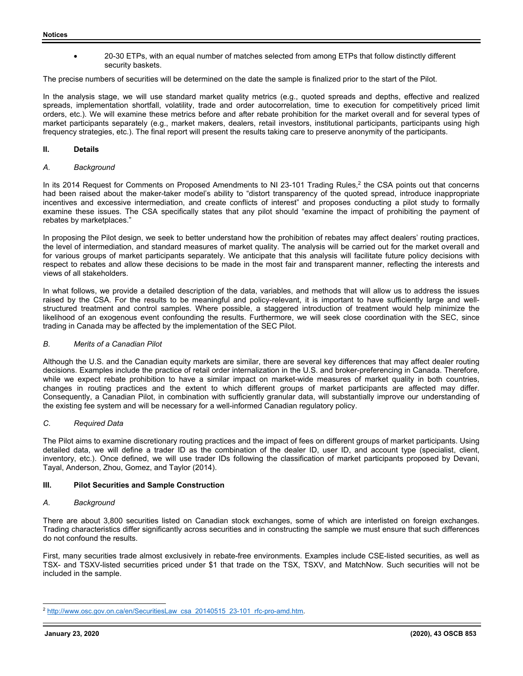• 20-30 ETPs, with an equal number of matches selected from among ETPs that follow distinctly different security baskets.

The precise numbers of securities will be determined on the date the sample is finalized prior to the start of the Pilot.

In the analysis stage, we will use standard market quality metrics (e.g., quoted spreads and depths, effective and realized spreads, implementation shortfall, volatility, trade and order autocorrelation, time to execution for competitively priced limit orders, etc.). We will examine these metrics before and after rebate prohibition for the market overall and for several types of market participants separately (e.g., market makers, dealers, retail investors, institutional participants, participants using high frequency strategies, etc.). The final report will present the results taking care to preserve anonymity of the participants.

### **II. Details**

#### *A. Background*

In its 2014 Request for Comments on Proposed Amendments to NI 23-101 Trading Rules,<sup>2</sup> the CSA points out that concerns had been raised about the maker-taker model's ability to "distort transparency of the quoted spread, introduce inappropriate incentives and excessive intermediation, and create conflicts of interest" and proposes conducting a pilot study to formally examine these issues. The CSA specifically states that any pilot should "examine the impact of prohibiting the payment of rebates by marketplaces."

In proposing the Pilot design, we seek to better understand how the prohibition of rebates may affect dealers' routing practices, the level of intermediation, and standard measures of market quality. The analysis will be carried out for the market overall and for various groups of market participants separately. We anticipate that this analysis will facilitate future policy decisions with respect to rebates and allow these decisions to be made in the most fair and transparent manner, reflecting the interests and views of all stakeholders.

In what follows, we provide a detailed description of the data, variables, and methods that will allow us to address the issues raised by the CSA. For the results to be meaningful and policy-relevant, it is important to have sufficiently large and wellstructured treatment and control samples. Where possible, a staggered introduction of treatment would help minimize the likelihood of an exogenous event confounding the results. Furthermore, we will seek close coordination with the SEC, since trading in Canada may be affected by the implementation of the SEC Pilot.

## *B. Merits of a Canadian Pilot*

Although the U.S. and the Canadian equity markets are similar, there are several key differences that may affect dealer routing decisions. Examples include the practice of retail order internalization in the U.S. and broker-preferencing in Canada. Therefore, while we expect rebate prohibition to have a similar impact on market-wide measures of market quality in both countries, changes in routing practices and the extent to which different groups of market participants are affected may differ. Consequently, a Canadian Pilot, in combination with sufficiently granular data, will substantially improve our understanding of the existing fee system and will be necessary for a well-informed Canadian regulatory policy.

## *C. Required Data*

The Pilot aims to examine discretionary routing practices and the impact of fees on different groups of market participants. Using detailed data, we will define a trader ID as the combination of the dealer ID, user ID, and account type (specialist, client, inventory, etc.). Once defined, we will use trader IDs following the classification of market participants proposed by Devani, Tayal, Anderson, Zhou, Gomez, and Taylor (2014).

## **III. Pilot Securities and Sample Construction**

## *A. Background*

There are about 3,800 securities listed on Canadian stock exchanges, some of which are interlisted on foreign exchanges. Trading characteristics differ significantly across securities and in constructing the sample we must ensure that such differences do not confound the results.

First, many securities trade almost exclusively in rebate-free environments. Examples include CSE-listed securities, as well as TSX- and TSXV-listed securrities priced under \$1 that trade on the TSX, TSXV, and MatchNow. Such securities will not be included in the sample.

l http://www.osc.gov.on.ca/en/SecuritiesLaw\_csa\_20140515\_23-101\_rfc-pro-amd.htm.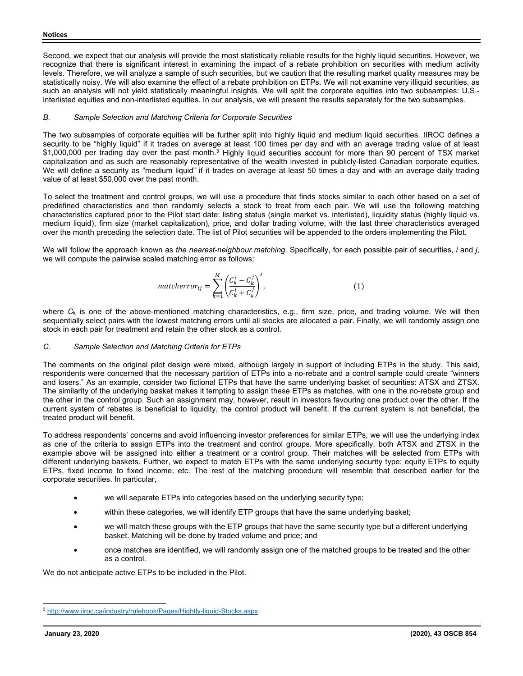Second, we expect that our analysis will provide the most statistically reliable results for the highly liquid securities. However, we recognize that there is significant interest in examining the impact of a rebate prohibition on securities with medium activity levels. Therefore, we will analyze a sample of such securities, but we caution that the resulting market quality measures may be statistically noisy. We will also examine the effect of a rebate prohibition on ETPs. We will not examine very illiquid securities, as such an analysis will not yield statistically meaningful insights. We will split the corporate equities into two subsamples: U.S. interlisted equities and non-interlisted equities. In our analysis, we will present the results separately for the two subsamples.

## *B. Sample Selection and Matching Criteria for Corporate Securities*

The two subsamples of corporate equities will be further split into highly liquid and medium liquid securities. IIROC defines a security to be "highly liquid" if it trades on average at least 100 times per day and with an average trading value of at least \$1,000,000 per trading day over the past month.<sup>3</sup> Highly liquid securities account for more than 90 percent of TSX market capitalization and as such are reasonably representative of the wealth invested in publicly-listed Canadian corporate equities. We will define a security as "medium liquid" if it trades on average at least 50 times a day and with an average daily trading value of at least \$50,000 over the past month.

To select the treatment and control groups, we will use a procedure that finds stocks similar to each other based on a set of predefined characteristics and then randomly selects a stock to treat from each pair. We will use the following matching characteristics captured prior to the Pilot start date: listing status (single market vs. interlisted), liquidity status (highly liquid vs. medium liquid), firm size (market capitalization), price, and dollar trading volume, with the last three characteristics averaged over the month preceding the selection date. The list of Pilot securities will be appended to the orders implementing the Pilot.

We will follow the approach known as *the nearest-neighbour matching*. Specifically, for each possible pair of securities, *i* and *j*, we will compute the pairwise scaled matching error as follows:

$$
matcherror_{ij} = \sum_{k=1}^{M} \left( \frac{C_k^i - C_k^j}{C_k^i + C_k^j} \right)^2,
$$
\n(1)

where *C*k is one of the above-mentioned matching characteristics, e.g., firm size, price, and trading volume. We will then sequentially select pairs with the lowest matching errors until all stocks are allocated a pair. Finally, we will randomly assign one stock in each pair for treatment and retain the other stock as a control.

## *C. Sample Selection and Matching Criteria for ETPs*

The comments on the original pilot design were mixed, although largely in support of including ETPs in the study. This said, respondents were concerned that the necessary partition of ETPs into a no-rebate and a control sample could create "winners and losers." As an example, consider two fictional ETPs that have the same underlying basket of securities: ATSX and ZTSX. The similarity of the underlying basket makes it tempting to assign these ETPs as matches, with one in the no-rebate group and the other in the control group. Such an assignment may, however, result in investors favouring one product over the other. If the current system of rebates is beneficial to liquidity, the control product will benefit. If the current system is not beneficial, the treated product will benefit.

To address respondents' concerns and avoid influencing investor preferences for similar ETPs, we will use the underlying index as one of the criteria to assign ETPs into the treatment and control groups. More specifically, both ATSX and ZTSX in the example above will be assigned into either a treatment or a control group. Their matches will be selected from ETPs with different underlying baskets. Further, we expect to match ETPs with the same underlying security type: equity ETPs to equity ETPs, fixed income to fixed income, etc. The rest of the matching procedure will resemble that described earlier for the corporate securities. In particular,

- we will separate ETPs into categories based on the underlying security type;
- within these categories, we will identify ETP groups that have the same underlying basket;
- we will match these groups with the ETP groups that have the same security type but a different underlying basket. Matching will be done by traded volume and price; and
- once matches are identified, we will randomly assign one of the matched groups to be treated and the other as a control.

We do not anticipate active ETPs to be included in the Pilot.

l <sup>3</sup> http://www.iiroc.ca/industry/rulebook/Pages/Hightly-liquid-Stocks.aspx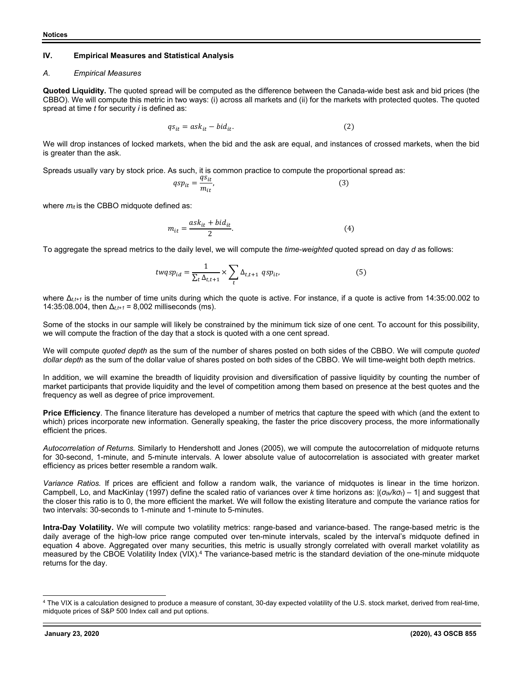### **IV. Empirical Measures and Statistical Analysis**

#### *A. Empirical Measures*

**Quoted Liquidity.** The quoted spread will be computed as the difference between the Canada-wide best ask and bid prices (the CBBO). We will compute this metric in two ways: (i) across all markets and (ii) for the markets with protected quotes. The quoted spread at time *t* for security *i* is defined as:

$$
qs_{it} = ask_{it} - bid_{it}.
$$
 (2)

We will drop instances of locked markets, when the bid and the ask are equal, and instances of crossed markets, when the bid is greater than the ask.

Spreads usually vary by stock price. As such, it is common practice to compute the proportional spread as:

$$
qsp_{it} = \frac{qs_{it}}{m_{it}},\tag{3}
$$

where  $m_{it}$  is the CBBO midquote defined as:

$$
m_{it} = \frac{ask_{it} + bid_{it}}{2}.\tag{4}
$$

To aggregate the spread metrics to the daily level, we will compute the *time-weighted* quoted spread on day *d* as follows:

$$
twqsp_{id} = \frac{1}{\sum_{t} \Delta_{t,t+1}} \times \sum_{t} \Delta_{t,t+1} \ qsp_{it}, \qquad (5)
$$

where Δ<sub>t,t+1</sub> is the number of time units during which the quote is active. For instance, if a quote is active from 14:35:00.002 to 14:35:08.004, then  $Δ<sub>t,t+1</sub> = 8,002$  milliseconds (ms).

Some of the stocks in our sample will likely be constrained by the minimum tick size of one cent. To account for this possibility, we will compute the fraction of the day that a stock is quoted with a one cent spread.

We will compute *quoted depth* as the sum of the number of shares posted on both sides of the CBBO. We will compute *quoted dollar depth* as the sum of the dollar value of shares posted on both sides of the CBBO. We will time-weight both depth metrics.

In addition, we will examine the breadth of liquidity provision and diversification of passive liquidity by counting the number of market participants that provide liquidity and the level of competition among them based on presence at the best quotes and the frequency as well as degree of price improvement.

**Price Efficiency**. The finance literature has developed a number of metrics that capture the speed with which (and the extent to which) prices incorporate new information. Generally speaking, the faster the price discovery process, the more informationally efficient the prices.

*Autocorrelation of Returns.* Similarly to Hendershott and Jones (2005), we will compute the autocorrelation of midquote returns for 30-second, 1-minute, and 5-minute intervals. A lower absolute value of autocorrelation is associated with greater market efficiency as prices better resemble a random walk.

*Variance Ratios.* If prices are efficient and follow a random walk, the variance of midquotes is linear in the time horizon. Campbell, Lo, and MacKinlay (1997) define the scaled ratio of variances over *k* time horizons as: |(*σtk/kσt*) *–* 1| and suggest that the closer this ratio is to 0, the more efficient the market. We will follow the existing literature and compute the variance ratios for two intervals: 30-seconds to 1-minute and 1-minute to 5-minutes.

**Intra-Day Volatility.** We will compute two volatility metrics: range-based and variance-based. The range-based metric is the daily average of the high-low price range computed over ten-minute intervals, scaled by the interval's midquote defined in equation 4 above. Aggregated over many securities, this metric is usually strongly correlated with overall market volatility as measured by the CBOE Volatility Index (VIX).<sup>4</sup> The variance-based metric is the standard deviation of the one-minute midquote returns for the day.

<sup>4</sup> The VIX is a calculation designed to produce a measure of constant, 30-day expected volatility of the U.S. stock market, derived from real-time, midquote prices of S&P 500 Index call and put options.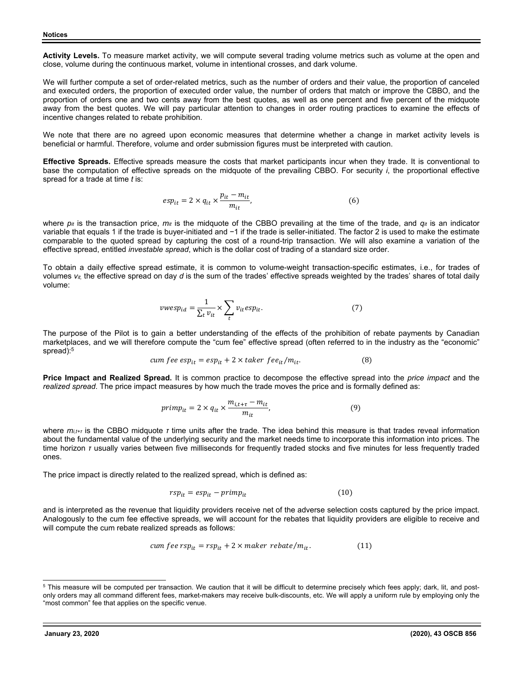**Activity Levels.** To measure market activity, we will compute several trading volume metrics such as volume at the open and close, volume during the continuous market, volume in intentional crosses, and dark volume.

We will further compute a set of order-related metrics, such as the number of orders and their value, the proportion of canceled and executed orders, the proportion of executed order value, the number of orders that match or improve the CBBO, and the proportion of orders one and two cents away from the best quotes, as well as one percent and five percent of the midquote away from the best quotes. We will pay particular attention to changes in order routing practices to examine the effects of incentive changes related to rebate prohibition.

We note that there are no agreed upon economic measures that determine whether a change in market activity levels is beneficial or harmful. Therefore, volume and order submission figures must be interpreted with caution.

**Effective Spreads.** Effective spreads measure the costs that market participants incur when they trade. It is conventional to base the computation of effective spreads on the midquote of the prevailing CBBO. For security *i*, the proportional effective spread for a trade at time *t* is:

$$
e^{t} = 2 \times q_{it} \times \frac{p_{it} - m_{it}}{m_{it}},
$$
\n<sup>(6)</sup>

where  $p_{it}$  is the transaction price,  $m_{it}$  is the midquote of the CBBO prevailing at the time of the trade, and  $q_{it}$  is an indicator variable that equals 1 if the trade is buyer-initiated and −1 if the trade is seller-initiated. The factor 2 is used to make the estimate comparable to the quoted spread by capturing the cost of a round-trip transaction. We will also examine a variation of the effective spread, entitled *investable spread*, which is the dollar cost of trading of a standard size order.

To obtain a daily effective spread estimate, it is common to volume-weight transaction-specific estimates, i.e., for trades of volumes *vit,* the effective spread on day *d* is the sum of the trades' effective spreads weighted by the trades' shares of total daily volume:

$$
vwesp_{id} = \frac{1}{\sum_{t} v_{it}} \times \sum_{t} v_{it} esp_{it}.
$$
 (7)

The purpose of the Pilot is to gain a better understanding of the effects of the prohibition of rebate payments by Canadian marketplaces, and we will therefore compute the "cum fee" effective spread (often referred to in the industry as the "economic" spread):<sup>5</sup>

$$
cum fee \exp_{it} = esp_{it} + 2 \times taker \ fee_{it}/m_{it}. \tag{8}
$$

**Price Impact and Realized Spread.** It is common practice to decompose the effective spread into the *price impact* and the *realized spread*. The price impact measures by how much the trade moves the price and is formally defined as:

$$
prim_{it} = 2 \times q_{it} \times \frac{m_{i,t+\tau} - m_{it}}{m_{it}},
$$
\n(9)

where *mi,t+τ* is the CBBO midquote *τ* time units after the trade. The idea behind this measure is that trades reveal information about the fundamental value of the underlying security and the market needs time to incorporate this information into prices. The time horizon *τ* usually varies between five milliseconds for frequently traded stocks and five minutes for less frequently traded ones.

The price impact is directly related to the realized spread, which is defined as:

$$
rsp_{it} = esp_{it} - primp_{it} \tag{10}
$$

and is interpreted as the revenue that liquidity providers receive net of the adverse selection costs captured by the price impact. Analogously to the cum fee effective spreads, we will account for the rebates that liquidity providers are eligible to receive and will compute the cum rebate realized spreads as follows:

$$
cum fee rsp_{it} = rsp_{it} + 2 \times maker rebate/m_{it}. \qquad (11)
$$

 $^5$  This measure will be computed per transaction. We caution that it will be difficult to determine precisely which fees apply; dark, lit, and postonly orders may all command different fees, market-makers may receive bulk-discounts, etc. We will apply a uniform rule by employing only the "most common" fee that applies on the specific venue.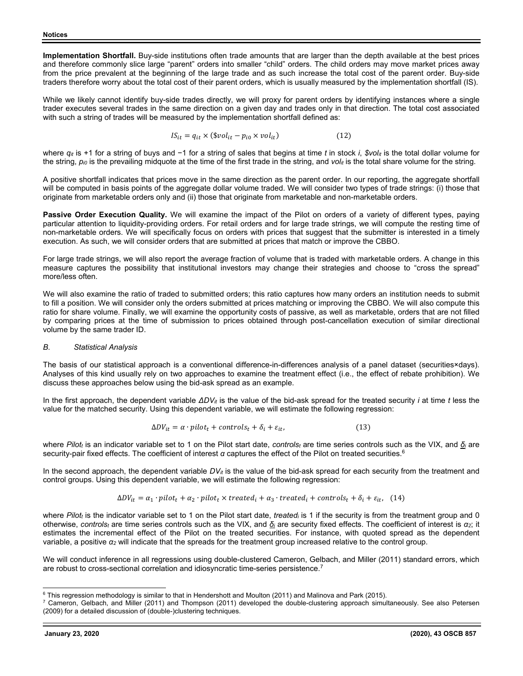**Implementation Shortfall.** Buy-side institutions often trade amounts that are larger than the depth available at the best prices and therefore commonly slice large "parent" orders into smaller "child" orders. The child orders may move market prices away from the price prevalent at the beginning of the large trade and as such increase the total cost of the parent order. Buy-side traders therefore worry about the total cost of their parent orders, which is usually measured by the implementation shortfall (IS).

While we likely cannot identify buy-side trades directly, we will proxy for parent orders by identifying instances where a single trader executes several trades in the same direction on a given day and trades only in that direction. The total cost associated with such a string of trades will be measured by the implementation shortfall defined as:

$$
IS_{it} = q_{it} \times (\text{$vol}_{it} - p_{i0} \times vol_{it})
$$
 (12)

where  $q_{it}$  is +1 for a string of buys and −1 for a string of sales that begins at time *t* in stock *i*, *\$vol<sub>it</sub>* is the total dollar volume for the string, *pi0* is the prevailing midquote at the time of the first trade in the string, and *volit* is the total share volume for the string.

A positive shortfall indicates that prices move in the same direction as the parent order. In our reporting, the aggregate shortfall will be computed in basis points of the aggregate dollar volume traded. We will consider two types of trade strings: (i) those that originate from marketable orders only and (ii) those that originate from marketable and non-marketable orders.

**Passive Order Execution Quality.** We will examine the impact of the Pilot on orders of a variety of different types, paying particular attention to liquidity-providing orders. For retail orders and for large trade strings, we will compute the resting time of non-marketable orders. We will specifically focus on orders with prices that suggest that the submitter is interested in a timely execution. As such, we will consider orders that are submitted at prices that match or improve the CBBO.

For large trade strings, we will also report the average fraction of volume that is traded with marketable orders. A change in this measure captures the possibility that institutional investors may change their strategies and choose to "cross the spread" more/less often.

We will also examine the ratio of traded to submitted orders; this ratio captures how many orders an institution needs to submit to fill a position. We will consider only the orders submitted at prices matching or improving the CBBO. We will also compute this ratio for share volume. Finally, we will examine the opportunity costs of passive, as well as marketable, orders that are not filled by comparing prices at the time of submission to prices obtained through post-cancellation execution of similar directional volume by the same trader ID.

## *B. Statistical Analysis*

The basis of our statistical approach is a conventional difference-in-differences analysis of a panel dataset (securities×days). Analyses of this kind usually rely on two approaches to examine the treatment effect (i.e., the effect of rebate prohibition). We discuss these approaches below using the bid-ask spread as an example.

In the first approach, the dependent variable *ΔDVit* is the value of the bid-ask spread for the treated security *i* at time *t* less the value for the matched security. Using this dependent variable, we will estimate the following regression:

$$
\Delta DV_{it} = \alpha \cdot pilot_t + controls_t + \delta_i + \varepsilon_{it},\tag{13}
$$

where Pilot<sub>t</sub> is an indicator variable set to 1 on the Pilot start date, *controls<sub>t</sub>* are time series controls such as the VIX, and <u>δ</u>*i* are security-pair fixed effects. The coefficient of interest *α* captures the effect of the Pilot on treated securities.6

In the second approach, the dependent variable  $DV_{it}$  is the value of the bid-ask spread for each security from the treatment and control groups. Using this dependent variable, we will estimate the following regression:

$$
\Delta DV_{it} = \alpha_1 \cdot pilot_t + \alpha_2 \cdot pilot_t \times treated_i + \alpha_3 \cdot treated_i + controls_t + \delta_i + \varepsilon_{it}, \quad (14)
$$

where Pilot<sub>t</sub> is the indicator variable set to 1 on the Pilot start date, *treated<sub>i</sub>* is 1 if the security is from the treatment group and 0 otherwise, *controlst* are time series controls such as the VIX, and *δi* are security fixed effects. The coefficient of interest is *α2*; it estimates the incremental effect of the Pilot on the treated securities. For instance, with quoted spread as the dependent variable, a positive *α2* will indicate that the spreads for the treatment group increased relative to the control group.

We will conduct inference in all regressions using double-clustered Cameron, Gelbach, and Miller (2011) standard errors, which are robust to cross-sectional correlation and idiosyncratic time-series persistence.7

 $^6$  This regression methodology is similar to that in Hendershott and Moulton (2011) and Malinova and Park (2015).

 $^7$  Cameron, Gelbach, and Miller (2011) and Thompson (2011) developed the double-clustering approach simultaneously. See also Petersen (2009) for a detailed discussion of (double-)clustering techniques.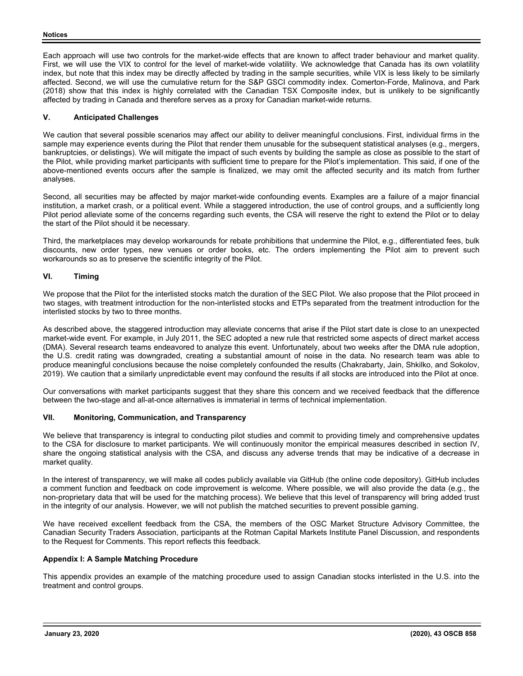Each approach will use two controls for the market-wide effects that are known to affect trader behaviour and market quality. First, we will use the VIX to control for the level of market-wide volatility. We acknowledge that Canada has its own volatility index, but note that this index may be directly affected by trading in the sample securities, while VIX is less likely to be similarly affected. Second, we will use the cumulative return for the S&P GSCI commodity index. Comerton-Forde, Malinova, and Park (2018) show that this index is highly correlated with the Canadian TSX Composite index, but is unlikely to be significantly affected by trading in Canada and therefore serves as a proxy for Canadian market-wide returns.

## **V. Anticipated Challenges**

We caution that several possible scenarios may affect our ability to deliver meaningful conclusions. First, individual firms in the sample may experience events during the Pilot that render them unusable for the subsequent statistical analyses (e.g., mergers, bankruptcies, or delistings). We will mitigate the impact of such events by building the sample as close as possible to the start of the Pilot, while providing market participants with sufficient time to prepare for the Pilot's implementation. This said, if one of the above-mentioned events occurs after the sample is finalized, we may omit the affected security and its match from further analyses.

Second, all securities may be affected by major market-wide confounding events. Examples are a failure of a major financial institution, a market crash, or a political event. While a staggered introduction, the use of control groups, and a sufficiently long Pilot period alleviate some of the concerns regarding such events, the CSA will reserve the right to extend the Pilot or to delay the start of the Pilot should it be necessary.

Third, the marketplaces may develop workarounds for rebate prohibitions that undermine the Pilot, e.g., differentiated fees, bulk discounts, new order types, new venues or order books, etc. The orders implementing the Pilot aim to prevent such workarounds so as to preserve the scientific integrity of the Pilot.

## **VI. Timing**

We propose that the Pilot for the interlisted stocks match the duration of the SEC Pilot. We also propose that the Pilot proceed in two stages, with treatment introduction for the non-interlisted stocks and ETPs separated from the treatment introduction for the interlisted stocks by two to three months.

As described above, the staggered introduction may alleviate concerns that arise if the Pilot start date is close to an unexpected market-wide event. For example, in July 2011, the SEC adopted a new rule that restricted some aspects of direct market access (DMA). Several research teams endeavored to analyze this event. Unfortunately, about two weeks after the DMA rule adoption, the U.S. credit rating was downgraded, creating a substantial amount of noise in the data. No research team was able to produce meaningful conclusions because the noise completely confounded the results (Chakrabarty, Jain, Shkilko, and Sokolov, 2019). We caution that a similarly unpredictable event may confound the results if all stocks are introduced into the Pilot at once.

Our conversations with market participants suggest that they share this concern and we received feedback that the difference between the two-stage and all-at-once alternatives is immaterial in terms of technical implementation.

## **VII. Monitoring, Communication, and Transparency**

We believe that transparency is integral to conducting pilot studies and commit to providing timely and comprehensive updates to the CSA for disclosure to market participants. We will continuously monitor the empirical measures described in section IV, share the ongoing statistical analysis with the CSA, and discuss any adverse trends that may be indicative of a decrease in market quality.

In the interest of transparency, we will make all codes publicly available via GitHub (the online code depository). GitHub includes a comment function and feedback on code improvement is welcome. Where possible, we will also provide the data (e.g., the non-proprietary data that will be used for the matching process). We believe that this level of transparency will bring added trust in the integrity of our analysis. However, we will not publish the matched securities to prevent possible gaming.

We have received excellent feedback from the CSA, the members of the OSC Market Structure Advisory Committee, the Canadian Security Traders Association, participants at the Rotman Capital Markets Institute Panel Discussion, and respondents to the Request for Comments. This report reflects this feedback.

## **Appendix I: A Sample Matching Procedure**

This appendix provides an example of the matching procedure used to assign Canadian stocks interlisted in the U.S. into the treatment and control groups.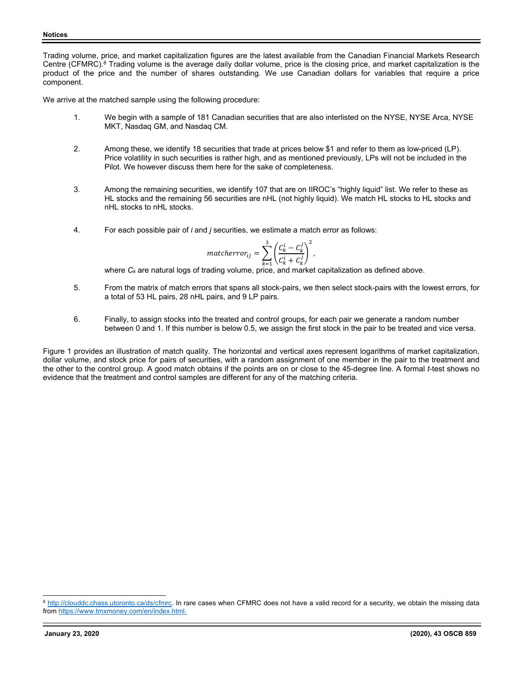Trading volume, price, and market capitalization figures are the latest available from the Canadian Financial Markets Research Centre (CFMRC).<sup>8</sup> Trading volume is the average daily dollar volume, price is the closing price, and market capitalization is the product of the price and the number of shares outstanding. We use Canadian dollars for variables that require a price component.

We arrive at the matched sample using the following procedure:

- 1. We begin with a sample of 181 Canadian securities that are also interlisted on the NYSE, NYSE Arca, NYSE MKT, Nasdaq GM, and Nasdaq CM.
- 2. Among these, we identify 18 securities that trade at prices below \$1 and refer to them as low-priced (LP). Price volatility in such securities is rather high, and as mentioned previously, LPs will not be included in the Pilot. We however discuss them here for the sake of completeness.
- 3. Among the remaining securities, we identify 107 that are on IIROC's "highly liquid" list. We refer to these as HL stocks and the remaining 56 securities are nHL (not highly liquid). We match HL stocks to HL stocks and nHL stocks to nHL stocks.
- 4. For each possible pair of *i* and *j* securities, we estimate a match error as follows:

$$
matcherror_{ij} = \sum_{k=1}^{3} \left( \frac{C_k^i - C_k^j}{C_k^i + C_k^j} \right)^2,
$$

where  $C_k$  are natural logs of trading volume, price, and market capitalization as defined above.

- 5. From the matrix of match errors that spans all stock-pairs, we then select stock-pairs with the lowest errors, for a total of 53 HL pairs, 28 nHL pairs, and 9 LP pairs.
- 6. Finally, to assign stocks into the treated and control groups, for each pair we generate a random number between 0 and 1. If this number is below 0.5, we assign the first stock in the pair to be treated and vice versa.

Figure 1 provides an illustration of match quality. The horizontal and vertical axes represent logarithms of market capitalization, dollar volume, and stock price for pairs of securities, with a random assignment of one member in the pair to the treatment and the other to the control group. A good match obtains if the points are on or close to the 45-degree line. A formal *t*-test shows no evidence that the treatment and control samples are different for any of the matching criteria.

<sup>&</sup>lt;sup>8</sup> http://clouddc.chass.utoronto.ca/ds/cfmrc. In rare cases when CFMRC does not have a valid record for a security, we obtain the missing data from https://www.tmxmoney.com/en/index.html.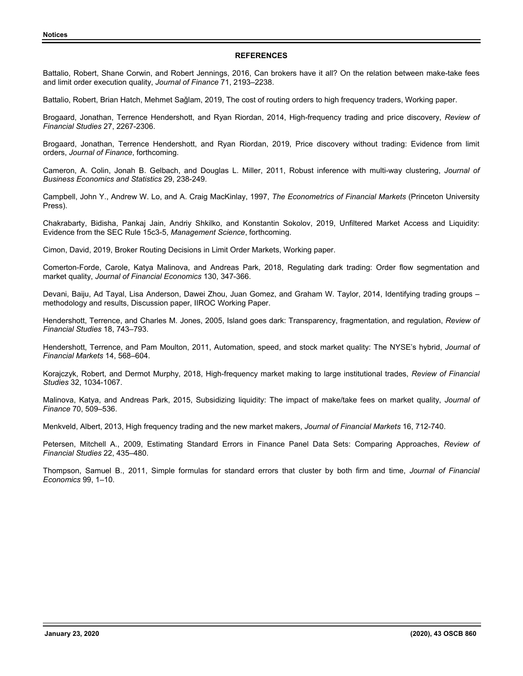## **REFERENCES**

Battalio, Robert, Shane Corwin, and Robert Jennings, 2016, Can brokers have it all? On the relation between make-take fees and limit order execution quality, *Journal of Finance* 71, 2193–2238.

Battalio, Robert, Brian Hatch, Mehmet Saǧlam, 2019, The cost of routing orders to high frequency traders, Working paper.

Brogaard, Jonathan, Terrence Hendershott, and Ryan Riordan, 2014, High-frequency trading and price discovery, *Review of Financial Studies* 27, 2267-2306.

Brogaard, Jonathan, Terrence Hendershott, and Ryan Riordan, 2019, Price discovery without trading: Evidence from limit orders, *Journal of Finance*, forthcoming.

Cameron, A. Colin, Jonah B. Gelbach, and Douglas L. Miller, 2011, Robust inference with multi-way clustering, *Journal of Business Economics and Statistics* 29, 238-249.

Campbell, John Y., Andrew W. Lo, and A. Craig MacKinlay, 1997, *The Econometrics of Financial Markets* (Princeton University Press).

Chakrabarty, Bidisha, Pankaj Jain, Andriy Shkilko, and Konstantin Sokolov, 2019, Unfiltered Market Access and Liquidity: Evidence from the SEC Rule 15c3-5, *Management Science*, forthcoming.

Cimon, David, 2019, Broker Routing Decisions in Limit Order Markets, Working paper.

Comerton-Forde, Carole, Katya Malinova, and Andreas Park, 2018, Regulating dark trading: Order flow segmentation and market quality, *Journal of Financial Economics* 130, 347-366.

Devani, Baiju, Ad Tayal, Lisa Anderson, Dawei Zhou, Juan Gomez, and Graham W. Taylor, 2014, Identifying trading groups – methodology and results, Discussion paper, IIROC Working Paper.

Hendershott, Terrence, and Charles M. Jones, 2005, Island goes dark: Transparency, fragmentation, and regulation, *Review of Financial Studies* 18, 743–793.

Hendershott, Terrence, and Pam Moulton, 2011, Automation, speed, and stock market quality: The NYSE's hybrid, *Journal of Financial Markets* 14, 568–604.

Korajczyk, Robert, and Dermot Murphy, 2018, High-frequency market making to large institutional trades, *Review of Financial Studies* 32, 1034-1067.

Malinova, Katya, and Andreas Park, 2015, Subsidizing liquidity: The impact of make/take fees on market quality, *Journal of Finance* 70, 509–536.

Menkveld, Albert, 2013, High frequency trading and the new market makers, *Journal of Financial Markets* 16, 712-740.

Petersen, Mitchell A., 2009, Estimating Standard Errors in Finance Panel Data Sets: Comparing Approaches, *Review of Financial Studies* 22, 435–480.

Thompson, Samuel B., 2011, Simple formulas for standard errors that cluster by both firm and time, *Journal of Financial Economics* 99, 1–10.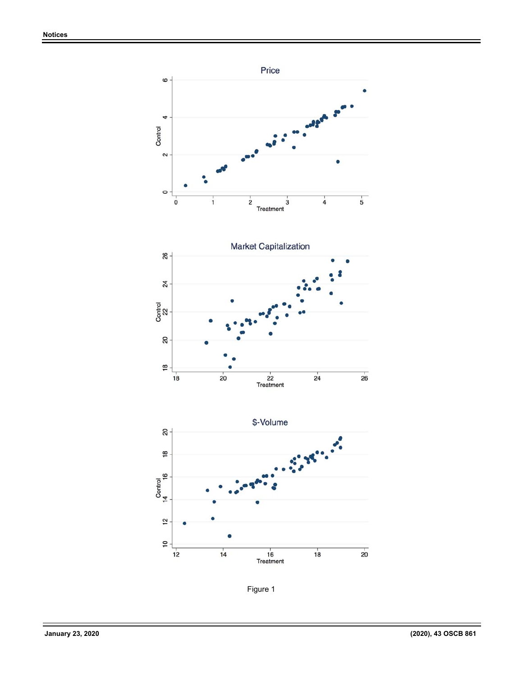

Figure 1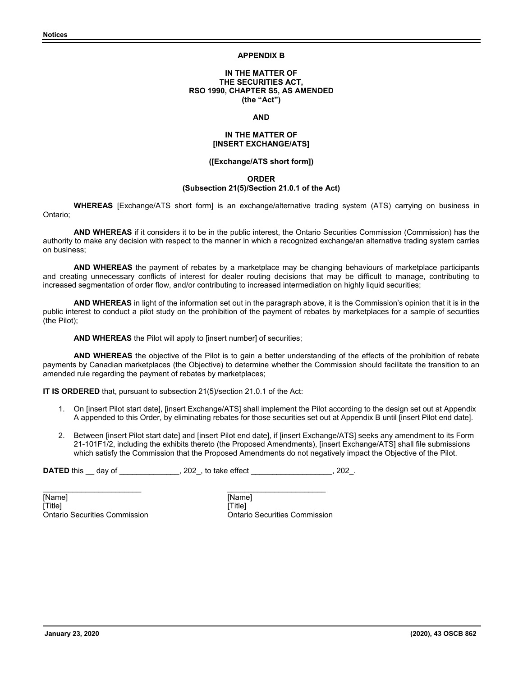### **APPENDIX B**

#### **IN THE MATTER OF THE SECURITIES ACT, RSO 1990, CHAPTER S5, AS AMENDED (the "Act")**

#### **AND**

### **IN THE MATTER OF [INSERT EXCHANGE/ATS]**

#### **([Exchange/ATS short form])**

#### **ORDER**

## **(Subsection 21(5)/Section 21.0.1 of the Act)**

 **WHEREAS** [Exchange/ATS short form] is an exchange/alternative trading system (ATS) carrying on business in Ontario;

 **AND WHEREAS** if it considers it to be in the public interest, the Ontario Securities Commission (Commission) has the authority to make any decision with respect to the manner in which a recognized exchange/an alternative trading system carries on business;

 **AND WHEREAS** the payment of rebates by a marketplace may be changing behaviours of marketplace participants and creating unnecessary conflicts of interest for dealer routing decisions that may be difficult to manage, contributing to increased segmentation of order flow, and/or contributing to increased intermediation on highly liquid securities;

 **AND WHEREAS** in light of the information set out in the paragraph above, it is the Commission's opinion that it is in the public interest to conduct a pilot study on the prohibition of the payment of rebates by marketplaces for a sample of securities (the Pilot);

 **AND WHEREAS** the Pilot will apply to [insert number] of securities;

 **AND WHEREAS** the objective of the Pilot is to gain a better understanding of the effects of the prohibition of rebate payments by Canadian marketplaces (the Objective) to determine whether the Commission should facilitate the transition to an amended rule regarding the payment of rebates by marketplaces;

**IT IS ORDERED** that, pursuant to subsection 21(5)/section 21.0.1 of the Act:

- 1. On [insert Pilot start date], [insert Exchange/ATS] shall implement the Pilot according to the design set out at Appendix A appended to this Order, by eliminating rebates for those securities set out at Appendix B until [insert Pilot end date].
- 2. Between [insert Pilot start date] and [insert Pilot end date], if [insert Exchange/ATS] seeks any amendment to its Form 21-101F1/2, including the exhibits thereto (the Proposed Amendments), [insert Exchange/ATS] shall file submissions which satisfy the Commission that the Proposed Amendments do not negatively impact the Objective of the Pilot.

**DATED** this \_\_ day of \_\_\_\_\_\_\_\_\_\_\_\_\_\_, 202\_, to take effect \_\_\_\_\_\_\_\_\_\_\_\_\_\_\_\_\_\_\_, 202\_.

 $\mathcal{L}_\mathcal{L}$  , and the contribution of the contribution of the contribution of the contribution of the contribution of the contribution of the contribution of the contribution of the contribution of the contribution of

[Name] [Name] [Title] [Title] Ontario Securities Commission Ontario Securities Commission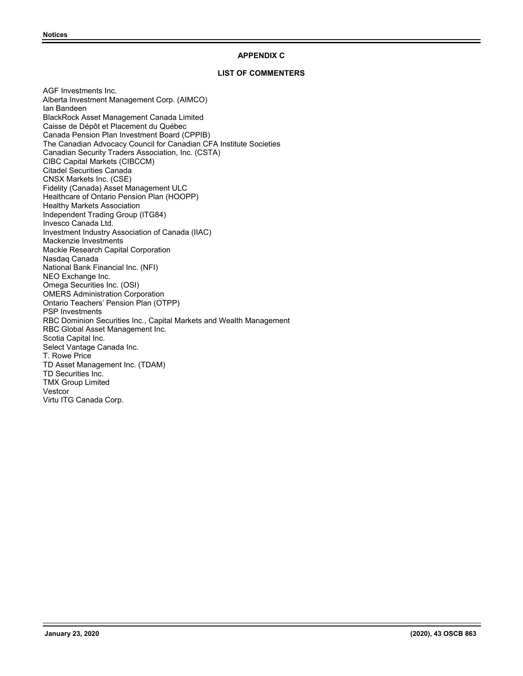## **APPENDIX C**

## **LIST OF COMMENTERS**

AGF Investments Inc. Alberta Investment Management Corp. (AIMCO) Ian Bandeen BlackRock Asset Management Canada Limited Caisse de Dépôt et Placement du Québec Canada Pension Plan Investment Board (CPPIB) The Canadian Advocacy Council for Canadian CFA Institute Societies Canadian Security Traders Association, Inc. (CSTA) CIBC Capital Markets (CIBCCM) Citadel Securities Canada CNSX Markets Inc. (CSE) Fidelity (Canada) Asset Management ULC Healthcare of Ontario Pension Plan (HOOPP) Healthy Markets Association Independent Trading Group (ITG84) Invesco Canada Ltd. Investment Industry Association of Canada (IIAC) Mackenzie Investments Mackie Research Capital Corporation Nasdaq Canada National Bank Financial Inc. (NFI) NEO Exchange Inc. Omega Securities Inc. (OSI) OMERS Administration Corporation Ontario Teachers' Pension Plan (OTPP) PSP Investments RBC Dominion Securities Inc., Capital Markets and Wealth Management RBC Global Asset Management Inc. Scotia Capital Inc. Select Vantage Canada Inc. T. Rowe Price TD Asset Management Inc. (TDAM) TD Securities Inc. TMX Group Limited Vestcor Virtu ITG Canada Corp.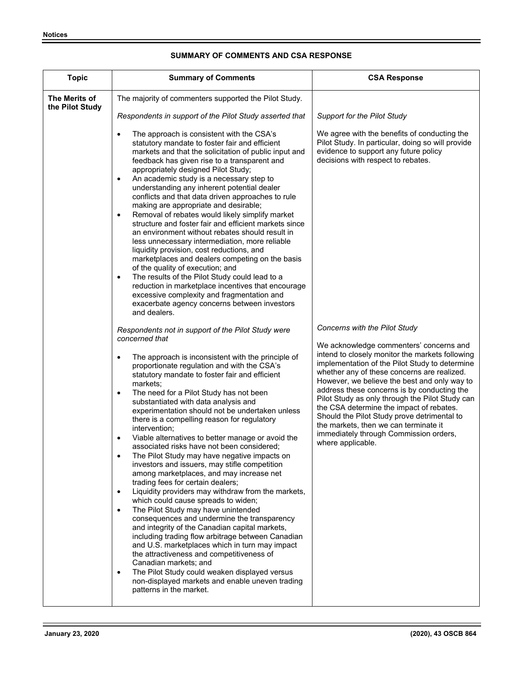#### **Topic Summary of Comments CSA Response The Merits of the Pilot Study**  The majority of commenters supported the Pilot Study. *Respondents in support of the Pilot Study asserted that*  • The approach is consistent with the CSA's statutory mandate to foster fair and efficient markets and that the solicitation of public input and feedback has given rise to a transparent and appropriately designed Pilot Study; • An academic study is a necessary step to understanding any inherent potential dealer conflicts and that data driven approaches to rule making are appropriate and desirable; • Removal of rebates would likely simplify market structure and foster fair and efficient markets since an environment without rebates should result in less unnecessary intermediation, more reliable liquidity provision, cost reductions, and marketplaces and dealers competing on the basis of the quality of execution; and The results of the Pilot Study could lead to a reduction in marketplace incentives that encourage excessive complexity and fragmentation and exacerbate agency concerns between investors and dealers. *Respondents not in support of the Pilot Study were concerned that*  • The approach is inconsistent with the principle of proportionate regulation and with the CSA's statutory mandate to foster fair and efficient markets; • The need for a Pilot Study has not been substantiated with data analysis and experimentation should not be undertaken unless there is a compelling reason for regulatory intervention; • Viable alternatives to better manage or avoid the associated risks have not been considered; • The Pilot Study may have negative impacts on investors and issuers, may stifle competition among marketplaces, and may increase net trading fees for certain dealers; • Liquidity providers may withdraw from the markets, which could cause spreads to widen; • The Pilot Study may have unintended consequences and undermine the transparency and integrity of the Canadian capital markets, including trading flow arbitrage between Canadian and U.S. marketplaces which in turn may impact the attractiveness and competitiveness of Canadian markets; and The Pilot Study could weaken displayed versus non-displayed markets and enable uneven trading patterns in the market. *Support for the Pilot Study*  We agree with the benefits of conducting the Pilot Study. In particular, doing so will provide evidence to support any future policy decisions with respect to rebates. *Concerns with the Pilot Study* We acknowledge commenters' concerns and intend to closely monitor the markets following implementation of the Pilot Study to determine whether any of these concerns are realized. However, we believe the best and only way to address these concerns is by conducting the Pilot Study as only through the Pilot Study can the CSA determine the impact of rebates. Should the Pilot Study prove detrimental to the markets, then we can terminate it immediately through Commission orders, where applicable.

## **SUMMARY OF COMMENTS AND CSA RESPONSE**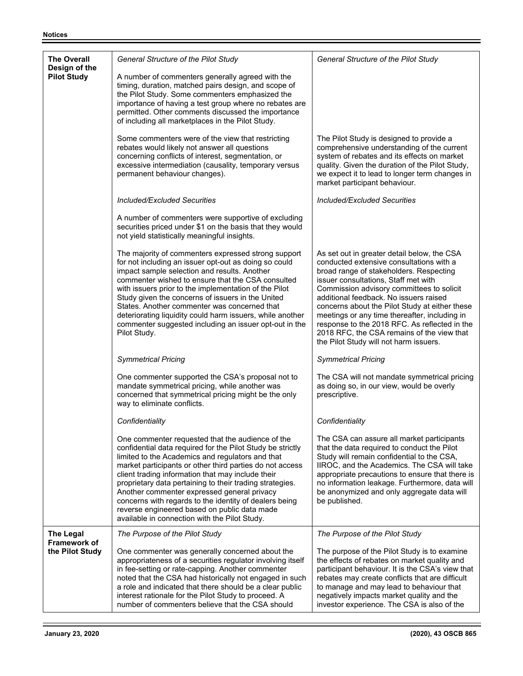| <b>The Overall</b><br>Design of the<br><b>Pilot Study</b> | General Structure of the Pilot Study<br>A number of commenters generally agreed with the<br>timing, duration, matched pairs design, and scope of<br>the Pilot Study. Some commenters emphasized the<br>importance of having a test group where no rebates are<br>permitted. Other comments discussed the importance<br>of including all marketplaces in the Pilot Study.                                                                                                                                                                                  | General Structure of the Pilot Study                                                                                                                                                                                                                                                                                                                                                                                                                                                                          |
|-----------------------------------------------------------|-----------------------------------------------------------------------------------------------------------------------------------------------------------------------------------------------------------------------------------------------------------------------------------------------------------------------------------------------------------------------------------------------------------------------------------------------------------------------------------------------------------------------------------------------------------|---------------------------------------------------------------------------------------------------------------------------------------------------------------------------------------------------------------------------------------------------------------------------------------------------------------------------------------------------------------------------------------------------------------------------------------------------------------------------------------------------------------|
|                                                           | Some commenters were of the view that restricting<br>rebates would likely not answer all questions<br>concerning conflicts of interest, segmentation, or<br>excessive intermediation (causality, temporary versus<br>permanent behaviour changes).                                                                                                                                                                                                                                                                                                        | The Pilot Study is designed to provide a<br>comprehensive understanding of the current<br>system of rebates and its effects on market<br>quality. Given the duration of the Pilot Study,<br>we expect it to lead to longer term changes in<br>market participant behaviour.                                                                                                                                                                                                                                   |
|                                                           | Included/Excluded Securities                                                                                                                                                                                                                                                                                                                                                                                                                                                                                                                              | Included/Excluded Securities                                                                                                                                                                                                                                                                                                                                                                                                                                                                                  |
|                                                           | A number of commenters were supportive of excluding<br>securities priced under \$1 on the basis that they would<br>not yield statistically meaningful insights.                                                                                                                                                                                                                                                                                                                                                                                           |                                                                                                                                                                                                                                                                                                                                                                                                                                                                                                               |
|                                                           | The majority of commenters expressed strong support<br>for not including an issuer opt-out as doing so could<br>impact sample selection and results. Another<br>commenter wished to ensure that the CSA consulted<br>with issuers prior to the implementation of the Pilot<br>Study given the concerns of issuers in the United<br>States. Another commenter was concerned that<br>deteriorating liquidity could harm issuers, while another<br>commenter suggested including an issuer opt-out in the<br>Pilot Study.                                    | As set out in greater detail below, the CSA<br>conducted extensive consultations with a<br>broad range of stakeholders. Respecting<br>issuer consultations, Staff met with<br>Commission advisory committees to solicit<br>additional feedback. No issuers raised<br>concerns about the Pilot Study at either these<br>meetings or any time thereafter, including in<br>response to the 2018 RFC. As reflected in the<br>2018 RFC, the CSA remains of the view that<br>the Pilot Study will not harm issuers. |
|                                                           | <b>Symmetrical Pricing</b>                                                                                                                                                                                                                                                                                                                                                                                                                                                                                                                                | <b>Symmetrical Pricing</b>                                                                                                                                                                                                                                                                                                                                                                                                                                                                                    |
|                                                           | One commenter supported the CSA's proposal not to<br>mandate symmetrical pricing, while another was<br>concerned that symmetrical pricing might be the only<br>way to eliminate conflicts.                                                                                                                                                                                                                                                                                                                                                                | The CSA will not mandate symmetrical pricing<br>as doing so, in our view, would be overly<br>prescriptive.                                                                                                                                                                                                                                                                                                                                                                                                    |
|                                                           | Confidentiality                                                                                                                                                                                                                                                                                                                                                                                                                                                                                                                                           | Confidentiality                                                                                                                                                                                                                                                                                                                                                                                                                                                                                               |
|                                                           | One commenter requested that the audience of the<br>confidential data required for the Pilot Study be strictly<br>limited to the Academics and regulators and that<br>market participants or other third parties do not access<br>client trading information that may include their<br>proprietary data pertaining to their trading strategies.<br>Another commenter expressed general privacy<br>concerns with regards to the identity of dealers being<br>reverse engineered based on public data made<br>available in connection with the Pilot Study. | The CSA can assure all market participants<br>that the data required to conduct the Pilot<br>Study will remain confidential to the CSA,<br>IIROC, and the Academics. The CSA will take<br>appropriate precautions to ensure that there is<br>no information leakage. Furthermore, data will<br>be anonymized and only aggregate data will<br>be published.                                                                                                                                                    |
| <b>The Legal</b><br><b>Framework of</b>                   | The Purpose of the Pilot Study                                                                                                                                                                                                                                                                                                                                                                                                                                                                                                                            | The Purpose of the Pilot Study                                                                                                                                                                                                                                                                                                                                                                                                                                                                                |
| the Pilot Study                                           | One commenter was generally concerned about the<br>appropriateness of a securities regulator involving itself<br>in fee-setting or rate-capping. Another commenter<br>noted that the CSA had historically not engaged in such<br>a role and indicated that there should be a clear public<br>interest rationale for the Pilot Study to proceed. A<br>number of commenters believe that the CSA should                                                                                                                                                     | The purpose of the Pilot Study is to examine<br>the effects of rebates on market quality and<br>participant behaviour. It is the CSA's view that<br>rebates may create conflicts that are difficult<br>to manage and may lead to behaviour that<br>negatively impacts market quality and the<br>investor experience. The CSA is also of the                                                                                                                                                                   |

Ξ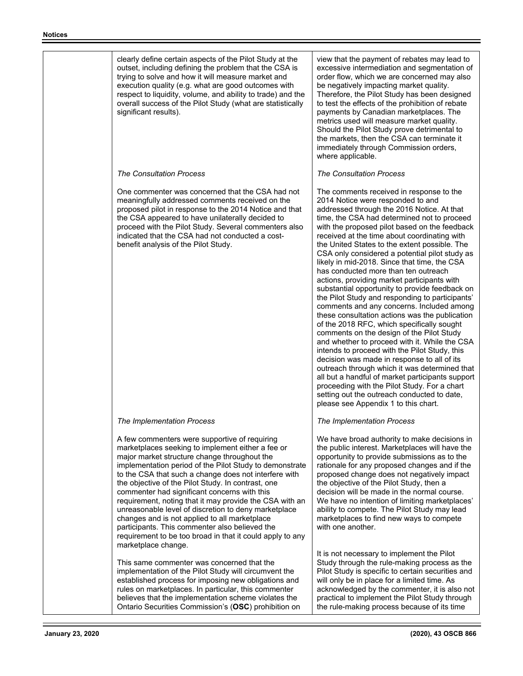

view that the payment of rebates may lead to excessive intermediation and segmentation of order flow, which we are concerned may also be negatively impacting market quality. Therefore, the Pilot Study has been designed to test the effects of the prohibition of rebate payments by Canadian marketplaces. The metrics used will measure market quality. Should the Pilot Study prove detrimental to the markets, then the CSA can terminate it immediately through Commission orders, where applicable.

## *The Consultation Process*

The comments received in response to the 2014 Notice were responded to and addressed through the 2016 Notice. At that time, the CSA had determined not to proceed with the proposed pilot based on the feedback received at the time about coordinating with the United States to the extent possible. The CSA only considered a potential pilot study as likely in mid-2018. Since that time, the CSA has conducted more than ten outreach actions, providing market participants with substantial opportunity to provide feedback on the Pilot Study and responding to participants' comments and any concerns. Included among these consultation actions was the publication of the 2018 RFC, which specifically sought comments on the design of the Pilot Study and whether to proceed with it. While the CSA intends to proceed with the Pilot Study, this decision was made in response to all of its outreach through which it was determined that all but a handful of market participants support proceeding with the Pilot Study. For a chart setting out the outreach conducted to date, please see Appendix 1 to this chart.

## *The Implementation Process*

We have broad authority to make decisions in the public interest. Marketplaces will have the opportunity to provide submissions as to the rationale for any proposed changes and if the proposed change does not negatively impact the objective of the Pilot Study, then a decision will be made in the normal course. We have no intention of limiting marketplaces' ability to compete. The Pilot Study may lead marketplaces to find new ways to compete with one another.

It is not necessary to implement the Pilot Study through the rule-making process as the Pilot Study is specific to certain securities and will only be in place for a limited time. As acknowledged by the commenter, it is also not practical to implement the Pilot Study through the rule-making process because of its time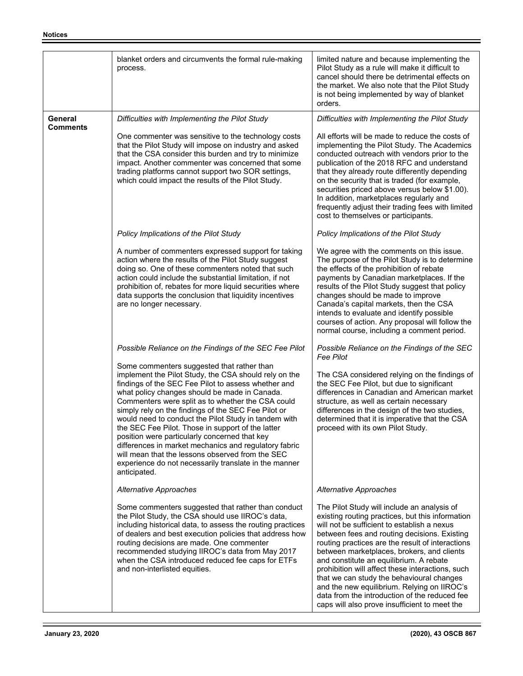|                            | blanket orders and circumvents the formal rule-making<br>process.                                                                                                                                                                                                                                                                                                                                                                                                                                                                                                                                                                                                           | limited nature and because implementing the<br>Pilot Study as a rule will make it difficult to<br>cancel should there be detrimental effects on<br>the market. We also note that the Pilot Study<br>is not being implemented by way of blanket<br>orders.                                                                                                                                                                                                                                                                                                                                     |
|----------------------------|-----------------------------------------------------------------------------------------------------------------------------------------------------------------------------------------------------------------------------------------------------------------------------------------------------------------------------------------------------------------------------------------------------------------------------------------------------------------------------------------------------------------------------------------------------------------------------------------------------------------------------------------------------------------------------|-----------------------------------------------------------------------------------------------------------------------------------------------------------------------------------------------------------------------------------------------------------------------------------------------------------------------------------------------------------------------------------------------------------------------------------------------------------------------------------------------------------------------------------------------------------------------------------------------|
| General<br><b>Comments</b> | Difficulties with Implementing the Pilot Study                                                                                                                                                                                                                                                                                                                                                                                                                                                                                                                                                                                                                              | Difficulties with Implementing the Pilot Study                                                                                                                                                                                                                                                                                                                                                                                                                                                                                                                                                |
|                            | One commenter was sensitive to the technology costs<br>that the Pilot Study will impose on industry and asked<br>that the CSA consider this burden and try to minimize<br>impact. Another commenter was concerned that some<br>trading platforms cannot support two SOR settings,<br>which could impact the results of the Pilot Study.                                                                                                                                                                                                                                                                                                                                     | All efforts will be made to reduce the costs of<br>implementing the Pilot Study. The Academics<br>conducted outreach with vendors prior to the<br>publication of the 2018 RFC and understand<br>that they already route differently depending<br>on the security that is traded (for example,<br>securities priced above versus below \$1.00).<br>In addition, marketplaces regularly and<br>frequently adjust their trading fees with limited<br>cost to themselves or participants.                                                                                                         |
|                            | Policy Implications of the Pilot Study                                                                                                                                                                                                                                                                                                                                                                                                                                                                                                                                                                                                                                      | Policy Implications of the Pilot Study                                                                                                                                                                                                                                                                                                                                                                                                                                                                                                                                                        |
|                            | A number of commenters expressed support for taking<br>action where the results of the Pilot Study suggest<br>doing so. One of these commenters noted that such<br>action could include the substantial limitation, if not<br>prohibition of, rebates for more liquid securities where<br>data supports the conclusion that liquidity incentives<br>are no longer necessary.                                                                                                                                                                                                                                                                                                | We agree with the comments on this issue.<br>The purpose of the Pilot Study is to determine<br>the effects of the prohibition of rebate<br>payments by Canadian marketplaces. If the<br>results of the Pilot Study suggest that policy<br>changes should be made to improve<br>Canada's capital markets, then the CSA<br>intends to evaluate and identify possible<br>courses of action. Any proposal will follow the<br>normal course, including a comment period.                                                                                                                           |
|                            | Possible Reliance on the Findings of the SEC Fee Pilot                                                                                                                                                                                                                                                                                                                                                                                                                                                                                                                                                                                                                      | Possible Reliance on the Findings of the SEC<br><b>Fee Pilot</b>                                                                                                                                                                                                                                                                                                                                                                                                                                                                                                                              |
|                            | Some commenters suggested that rather than<br>implement the Pilot Study, the CSA should rely on the<br>findings of the SEC Fee Pilot to assess whether and<br>what policy changes should be made in Canada.<br>Commenters were split as to whether the CSA could<br>simply rely on the findings of the SEC Fee Pilot or<br>would need to conduct the Pilot Study in tandem with<br>the SEC Fee Pilot. Those in support of the latter<br>position were particularly concerned that key<br>differences in market mechanics and regulatory fabric<br>will mean that the lessons observed from the SEC<br>experience do not necessarily translate in the manner<br>anticipated. | The CSA considered relying on the findings of<br>the SEC Fee Pilot, but due to significant<br>differences in Canadian and American market<br>structure, as well as certain necessary<br>differences in the design of the two studies,<br>determined that it is imperative that the CSA<br>proceed with its own Pilot Study.                                                                                                                                                                                                                                                                   |
|                            | Alternative Approaches                                                                                                                                                                                                                                                                                                                                                                                                                                                                                                                                                                                                                                                      | Alternative Approaches                                                                                                                                                                                                                                                                                                                                                                                                                                                                                                                                                                        |
|                            | Some commenters suggested that rather than conduct<br>the Pilot Study, the CSA should use IIROC's data,<br>including historical data, to assess the routing practices<br>of dealers and best execution policies that address how<br>routing decisions are made. One commenter<br>recommended studying IIROC's data from May 2017<br>when the CSA introduced reduced fee caps for ETFs<br>and non-interlisted equities.                                                                                                                                                                                                                                                      | The Pilot Study will include an analysis of<br>existing routing practices, but this information<br>will not be sufficient to establish a nexus<br>between fees and routing decisions. Existing<br>routing practices are the result of interactions<br>between marketplaces, brokers, and clients<br>and constitute an equilibrium. A rebate<br>prohibition will affect these interactions, such<br>that we can study the behavioural changes<br>and the new equilibrium. Relying on IIROC's<br>data from the introduction of the reduced fee<br>caps will also prove insufficient to meet the |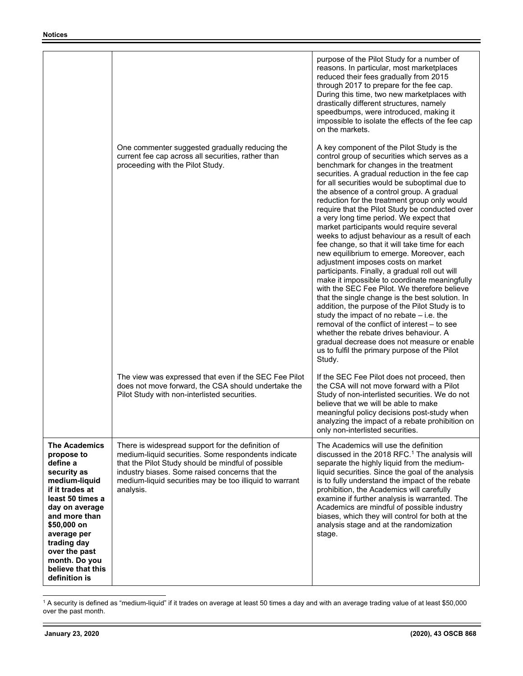|                                                                                                                                                                                                                                                                                          | purpose of the Pilot Study for a number of<br>reasons. In particular, most marketplaces<br>reduced their fees gradually from 2015<br>through 2017 to prepare for the fee cap.<br>During this time, two new marketplaces with<br>drastically different structures, namely<br>speedbumps, were introduced, making it<br>impossible to isolate the effects of the fee cap<br>on the markets.                                                                                                                                                                                                                                                                                                                                                                                                                                                                                                                                                                                                                                                                                                                                                                                      |
|------------------------------------------------------------------------------------------------------------------------------------------------------------------------------------------------------------------------------------------------------------------------------------------|--------------------------------------------------------------------------------------------------------------------------------------------------------------------------------------------------------------------------------------------------------------------------------------------------------------------------------------------------------------------------------------------------------------------------------------------------------------------------------------------------------------------------------------------------------------------------------------------------------------------------------------------------------------------------------------------------------------------------------------------------------------------------------------------------------------------------------------------------------------------------------------------------------------------------------------------------------------------------------------------------------------------------------------------------------------------------------------------------------------------------------------------------------------------------------|
| One commenter suggested gradually reducing the<br>current fee cap across all securities, rather than<br>proceeding with the Pilot Study.                                                                                                                                                 | A key component of the Pilot Study is the<br>control group of securities which serves as a<br>benchmark for changes in the treatment<br>securities. A gradual reduction in the fee cap<br>for all securities would be suboptimal due to<br>the absence of a control group. A gradual<br>reduction for the treatment group only would<br>require that the Pilot Study be conducted over<br>a very long time period. We expect that<br>market participants would require several<br>weeks to adjust behaviour as a result of each<br>fee change, so that it will take time for each<br>new equilibrium to emerge. Moreover, each<br>adjustment imposes costs on market<br>participants. Finally, a gradual roll out will<br>make it impossible to coordinate meaningfully<br>with the SEC Fee Pilot. We therefore believe<br>that the single change is the best solution. In<br>addition, the purpose of the Pilot Study is to<br>study the impact of no rebate $-$ i.e. the<br>removal of the conflict of interest - to see<br>whether the rebate drives behaviour. A<br>gradual decrease does not measure or enable<br>us to fulfil the primary purpose of the Pilot<br>Study. |
| The view was expressed that even if the SEC Fee Pilot<br>does not move forward, the CSA should undertake the<br>Pilot Study with non-interlisted securities.                                                                                                                             | If the SEC Fee Pilot does not proceed, then<br>the CSA will not move forward with a Pilot<br>Study of non-interlisted securities. We do not<br>believe that we will be able to make<br>meaningful policy decisions post-study when<br>analyzing the impact of a rebate prohibition on<br>only non-interlisted securities.                                                                                                                                                                                                                                                                                                                                                                                                                                                                                                                                                                                                                                                                                                                                                                                                                                                      |
| There is widespread support for the definition of<br>medium-liquid securities. Some respondents indicate<br>that the Pilot Study should be mindful of possible<br>industry biases. Some raised concerns that the<br>medium-liquid securities may be too illiquid to warrant<br>analysis. | The Academics will use the definition<br>discussed in the 2018 RFC. <sup>1</sup> The analysis will<br>separate the highly liquid from the medium-<br>liquid securities. Since the goal of the analysis<br>is to fully understand the impact of the rebate<br>prohibition, the Academics will carefully<br>examine if further analysis is warranted. The<br>Academics are mindful of possible industry<br>biases, which they will control for both at the<br>analysis stage and at the randomization<br>stage.                                                                                                                                                                                                                                                                                                                                                                                                                                                                                                                                                                                                                                                                  |
|                                                                                                                                                                                                                                                                                          |                                                                                                                                                                                                                                                                                                                                                                                                                                                                                                                                                                                                                                                                                                                                                                                                                                                                                                                                                                                                                                                                                                                                                                                |

 1 A security is defined as "medium-liquid" if it trades on average at least 50 times a day and with an average trading value of at least \$50,000 over the past month.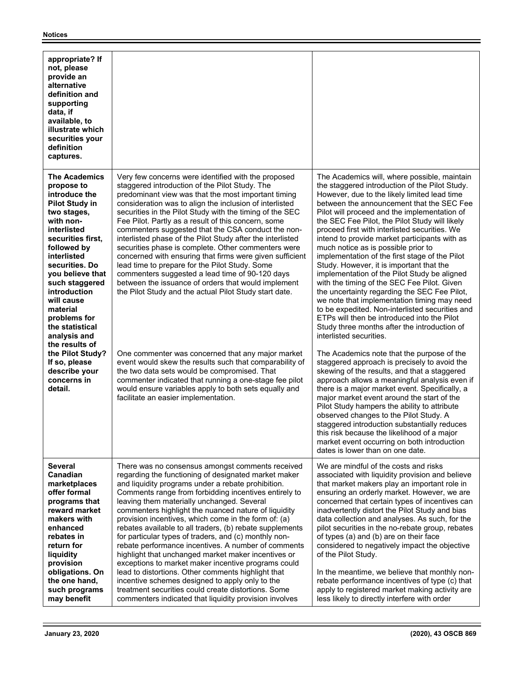| appropriate? If<br>not, please<br>provide an<br>alternative<br>definition and<br>supporting<br>data, if<br>available, to<br>illustrate which<br>securities your<br>definition<br>captures.                                                                                                                                                        |                                                                                                                                                                                                                                                                                                                                                                                                                                                                                                                                                                                                                                                                                                                                                                                                                                                                                                           |                                                                                                                                                                                                                                                                                                                                                                                                                                                                                                                                                                                                                                                                                                                                                                                                                                                                                                                 |
|---------------------------------------------------------------------------------------------------------------------------------------------------------------------------------------------------------------------------------------------------------------------------------------------------------------------------------------------------|-----------------------------------------------------------------------------------------------------------------------------------------------------------------------------------------------------------------------------------------------------------------------------------------------------------------------------------------------------------------------------------------------------------------------------------------------------------------------------------------------------------------------------------------------------------------------------------------------------------------------------------------------------------------------------------------------------------------------------------------------------------------------------------------------------------------------------------------------------------------------------------------------------------|-----------------------------------------------------------------------------------------------------------------------------------------------------------------------------------------------------------------------------------------------------------------------------------------------------------------------------------------------------------------------------------------------------------------------------------------------------------------------------------------------------------------------------------------------------------------------------------------------------------------------------------------------------------------------------------------------------------------------------------------------------------------------------------------------------------------------------------------------------------------------------------------------------------------|
| <b>The Academics</b><br>propose to<br>introduce the<br><b>Pilot Study in</b><br>two stages,<br>with non-<br>interlisted<br>securities first.<br>followed by<br>interlisted<br>securities. Do<br>you believe that<br>such staggered<br>introduction<br>will cause<br>material<br>problems for<br>the statistical<br>analysis and<br>the results of | Very few concerns were identified with the proposed<br>staggered introduction of the Pilot Study. The<br>predominant view was that the most important timing<br>consideration was to align the inclusion of interlisted<br>securities in the Pilot Study with the timing of the SEC<br>Fee Pilot. Partly as a result of this concern, some<br>commenters suggested that the CSA conduct the non-<br>interlisted phase of the Pilot Study after the interlisted<br>securities phase is complete. Other commenters were<br>concerned with ensuring that firms were given sufficient<br>lead time to prepare for the Pilot Study. Some<br>commenters suggested a lead time of 90-120 days<br>between the issuance of orders that would implement<br>the Pilot Study and the actual Pilot Study start date.                                                                                                   | The Academics will, where possible, maintain<br>the staggered introduction of the Pilot Study.<br>However, due to the likely limited lead time<br>between the announcement that the SEC Fee<br>Pilot will proceed and the implementation of<br>the SEC Fee Pilot, the Pilot Study will likely<br>proceed first with interlisted securities. We<br>intend to provide market participants with as<br>much notice as is possible prior to<br>implementation of the first stage of the Pilot<br>Study. However, it is important that the<br>implementation of the Pilot Study be aligned<br>with the timing of the SEC Fee Pilot. Given<br>the uncertainty regarding the SEC Fee Pilot,<br>we note that implementation timing may need<br>to be expedited. Non-interlisted securities and<br>ETPs will then be introduced into the Pilot<br>Study three months after the introduction of<br>interlisted securities. |
| the Pilot Study?<br>If so, please<br>describe your<br>concerns in<br>detail.                                                                                                                                                                                                                                                                      | One commenter was concerned that any major market<br>event would skew the results such that comparability of<br>the two data sets would be compromised. That<br>commenter indicated that running a one-stage fee pilot<br>would ensure variables apply to both sets equally and<br>facilitate an easier implementation.                                                                                                                                                                                                                                                                                                                                                                                                                                                                                                                                                                                   | The Academics note that the purpose of the<br>staggered approach is precisely to avoid the<br>skewing of the results, and that a staggered<br>approach allows a meaningful analysis even if<br>there is a major market event. Specifically, a<br>major market event around the start of the<br>Pilot Study hampers the ability to attribute<br>observed changes to the Pilot Study. A<br>staggered introduction substantially reduces<br>this risk because the likelihood of a major<br>market event occurring on both introduction<br>dates is lower than on one date.                                                                                                                                                                                                                                                                                                                                         |
| <b>Several</b><br>Canadian<br>marketplaces<br>offer formal<br>programs that<br>reward market<br>makers with<br>enhanced<br>rebates in<br>return for<br>liquidity<br>provision<br>obligations. On<br>the one hand,<br>such programs<br>may benefit                                                                                                 | There was no consensus amongst comments received<br>regarding the functioning of designated market maker<br>and liquidity programs under a rebate prohibition.<br>Comments range from forbidding incentives entirely to<br>leaving them materially unchanged. Several<br>commenters highlight the nuanced nature of liquidity<br>provision incentives, which come in the form of: (a)<br>rebates available to all traders, (b) rebate supplements<br>for particular types of traders, and (c) monthly non-<br>rebate performance incentives. A number of comments<br>highlight that unchanged market maker incentives or<br>exceptions to market maker incentive programs could<br>lead to distortions. Other comments highlight that<br>incentive schemes designed to apply only to the<br>treatment securities could create distortions. Some<br>commenters indicated that liquidity provision involves | We are mindful of the costs and risks<br>associated with liquidity provision and believe<br>that market makers play an important role in<br>ensuring an orderly market. However, we are<br>concerned that certain types of incentives can<br>inadvertently distort the Pilot Study and bias<br>data collection and analyses. As such, for the<br>pilot securities in the no-rebate group, rebates<br>of types (a) and (b) are on their face<br>considered to negatively impact the objective<br>of the Pilot Study.<br>In the meantime, we believe that monthly non-<br>rebate performance incentives of type (c) that<br>apply to registered market making activity are<br>less likely to directly interfere with order                                                                                                                                                                                        |

ī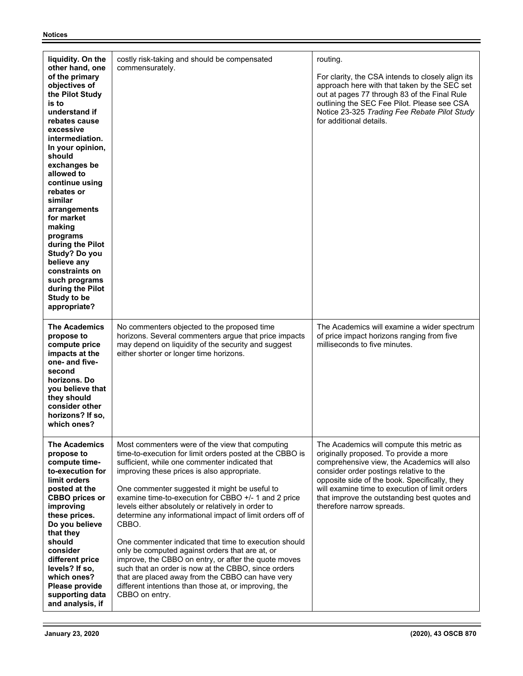| liquidity. On the<br>other hand, one<br>of the primary<br>objectives of<br>the Pilot Study<br>is to<br>understand if<br>rebates cause<br>excessive<br>intermediation.<br>In your opinion,<br>should<br>exchanges be<br>allowed to<br>continue using<br>rebates or<br>similar<br>arrangements<br>for market<br>making<br>programs<br>during the Pilot<br>Study? Do you<br>believe any<br>constraints on<br>such programs<br>during the Pilot<br>Study to be<br>appropriate? | costly risk-taking and should be compensated<br>commensurately.                                                                                                                                                                                                                                                                                                                                                                                                                                                                                                                                                                                                                                                                                                                                             | routing.<br>For clarity, the CSA intends to closely align its<br>approach here with that taken by the SEC set<br>out at pages 77 through 83 of the Final Rule<br>outlining the SEC Fee Pilot. Please see CSA<br>Notice 23-325 Trading Fee Rebate Pilot Study<br>for additional details.                                                                       |
|----------------------------------------------------------------------------------------------------------------------------------------------------------------------------------------------------------------------------------------------------------------------------------------------------------------------------------------------------------------------------------------------------------------------------------------------------------------------------|-------------------------------------------------------------------------------------------------------------------------------------------------------------------------------------------------------------------------------------------------------------------------------------------------------------------------------------------------------------------------------------------------------------------------------------------------------------------------------------------------------------------------------------------------------------------------------------------------------------------------------------------------------------------------------------------------------------------------------------------------------------------------------------------------------------|---------------------------------------------------------------------------------------------------------------------------------------------------------------------------------------------------------------------------------------------------------------------------------------------------------------------------------------------------------------|
| <b>The Academics</b><br>propose to<br>compute price<br>impacts at the<br>one- and five-<br>second<br>horizons. Do<br>you believe that<br>they should<br>consider other<br>horizons? If so,<br>which ones?                                                                                                                                                                                                                                                                  | No commenters objected to the proposed time<br>horizons. Several commenters argue that price impacts<br>may depend on liquidity of the security and suggest<br>either shorter or longer time horizons.                                                                                                                                                                                                                                                                                                                                                                                                                                                                                                                                                                                                      | The Academics will examine a wider spectrum<br>of price impact horizons ranging from five<br>milliseconds to five minutes.                                                                                                                                                                                                                                    |
| <b>The Academics</b><br>propose to<br>compute time-<br>to-execution for<br>limit orders<br>posted at the<br><b>CBBO</b> prices or<br>improving<br>these prices.<br>Do you believe<br>that they<br>should<br>consider<br>different price<br>levels? If so,<br>which ones?<br>Please provide<br>supporting data<br>and analysis, if                                                                                                                                          | Most commenters were of the view that computing<br>time-to-execution for limit orders posted at the CBBO is<br>sufficient, while one commenter indicated that<br>improving these prices is also appropriate.<br>One commenter suggested it might be useful to<br>examine time-to-execution for CBBO +/- 1 and 2 price<br>levels either absolutely or relatively in order to<br>determine any informational impact of limit orders off of<br>CBBO.<br>One commenter indicated that time to execution should<br>only be computed against orders that are at, or<br>improve, the CBBO on entry, or after the quote moves<br>such that an order is now at the CBBO, since orders<br>that are placed away from the CBBO can have very<br>different intentions than those at, or improving, the<br>CBBO on entry. | The Academics will compute this metric as<br>originally proposed. To provide a more<br>comprehensive view, the Academics will also<br>consider order postings relative to the<br>opposite side of the book. Specifically, they<br>will examine time to execution of limit orders<br>that improve the outstanding best quotes and<br>therefore narrow spreads. |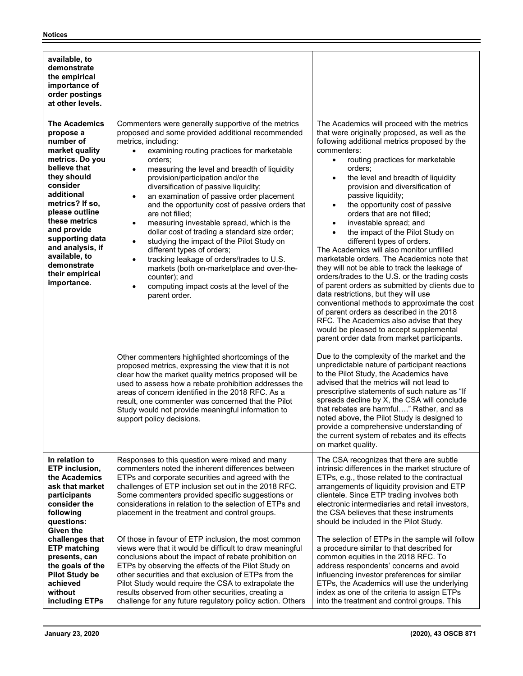| available, to<br>demonstrate<br>the empirical<br>importance of<br>order postings<br>at other levels.                                                                                                                                                                                                                       |                                                                                                                                                                                                                                                                                                                                                                                                                                                                                                                                                                                                                                                                                                                                                                                                                                                                                           |                                                                                                                                                                                                                                                                                                                                                                                                                                                                                                                                                                                                                                                                                                                                                                                                                                                                                                                                                                                                                                            |
|----------------------------------------------------------------------------------------------------------------------------------------------------------------------------------------------------------------------------------------------------------------------------------------------------------------------------|-------------------------------------------------------------------------------------------------------------------------------------------------------------------------------------------------------------------------------------------------------------------------------------------------------------------------------------------------------------------------------------------------------------------------------------------------------------------------------------------------------------------------------------------------------------------------------------------------------------------------------------------------------------------------------------------------------------------------------------------------------------------------------------------------------------------------------------------------------------------------------------------|--------------------------------------------------------------------------------------------------------------------------------------------------------------------------------------------------------------------------------------------------------------------------------------------------------------------------------------------------------------------------------------------------------------------------------------------------------------------------------------------------------------------------------------------------------------------------------------------------------------------------------------------------------------------------------------------------------------------------------------------------------------------------------------------------------------------------------------------------------------------------------------------------------------------------------------------------------------------------------------------------------------------------------------------|
| <b>The Academics</b><br>propose a<br>number of<br>market quality<br>metrics. Do you<br>believe that<br>they should<br>consider<br>additional<br>metrics? If so,<br>please outline<br>these metrics<br>and provide<br>supporting data<br>and analysis, if<br>available, to<br>demonstrate<br>their empirical<br>importance. | Commenters were generally supportive of the metrics<br>proposed and some provided additional recommended<br>metrics, including:<br>examining routing practices for marketable<br>$\bullet$<br>orders;<br>measuring the level and breadth of liquidity<br>$\bullet$<br>provision/participation and/or the<br>diversification of passive liquidity;<br>an examination of passive order placement<br>$\bullet$<br>and the opportunity cost of passive orders that<br>are not filled;<br>measuring investable spread, which is the<br>$\bullet$<br>dollar cost of trading a standard size order;<br>studying the impact of the Pilot Study on<br>$\bullet$<br>different types of orders;<br>tracking leakage of orders/trades to U.S.<br>$\bullet$<br>markets (both on-marketplace and over-the-<br>counter); and<br>computing impact costs at the level of the<br>$\bullet$<br>parent order. | The Academics will proceed with the metrics<br>that were originally proposed, as well as the<br>following additional metrics proposed by the<br>commenters:<br>routing practices for marketable<br>$\bullet$<br>orders;<br>the level and breadth of liquidity<br>provision and diversification of<br>passive liquidity;<br>the opportunity cost of passive<br>$\bullet$<br>orders that are not filled;<br>investable spread; and<br>$\bullet$<br>the impact of the Pilot Study on<br>different types of orders.<br>The Academics will also monitor unfilled<br>marketable orders. The Academics note that<br>they will not be able to track the leakage of<br>orders/trades to the U.S. or the trading costs<br>of parent orders as submitted by clients due to<br>data restrictions, but they will use<br>conventional methods to approximate the cost<br>of parent orders as described in the 2018<br>RFC. The Academics also advise that they<br>would be pleased to accept supplemental<br>parent order data from market participants. |
|                                                                                                                                                                                                                                                                                                                            | Other commenters highlighted shortcomings of the<br>proposed metrics, expressing the view that it is not<br>clear how the market quality metrics proposed will be<br>used to assess how a rebate prohibition addresses the<br>areas of concern identified in the 2018 RFC. As a<br>result, one commenter was concerned that the Pilot<br>Study would not provide meaningful information to<br>support policy decisions.                                                                                                                                                                                                                                                                                                                                                                                                                                                                   | Due to the complexity of the market and the<br>unpredictable nature of participant reactions<br>to the Pilot Study, the Academics have<br>advised that the metrics will not lead to<br>prescriptive statements of such nature as "If<br>spreads decline by X, the CSA will conclude<br>that rebates are harmful" Rather, and as<br>noted above, the Pilot Study is designed to<br>provide a comprehensive understanding of<br>the current system of rebates and its effects<br>on market quality.                                                                                                                                                                                                                                                                                                                                                                                                                                                                                                                                          |
| In relation to<br>ETP inclusion,<br>the Academics<br>ask that market<br>participants<br>consider the<br>following<br>questions:                                                                                                                                                                                            | Responses to this question were mixed and many<br>commenters noted the inherent differences between<br>ETPs and corporate securities and agreed with the<br>challenges of ETP inclusion set out in the 2018 RFC.<br>Some commenters provided specific suggestions or<br>considerations in relation to the selection of ETPs and<br>placement in the treatment and control groups.                                                                                                                                                                                                                                                                                                                                                                                                                                                                                                         | The CSA recognizes that there are subtle<br>intrinsic differences in the market structure of<br>ETPs, e.g., those related to the contractual<br>arrangements of liquidity provision and ETP<br>clientele. Since ETP trading involves both<br>electronic intermediaries and retail investors,<br>the CSA believes that these instruments<br>should be included in the Pilot Study.                                                                                                                                                                                                                                                                                                                                                                                                                                                                                                                                                                                                                                                          |
| <b>Given the</b><br>challenges that<br><b>ETP matching</b><br>presents, can<br>the goals of the<br><b>Pilot Study be</b><br>achieved<br>without<br>including ETPs                                                                                                                                                          | Of those in favour of ETP inclusion, the most common<br>views were that it would be difficult to draw meaningful<br>conclusions about the impact of rebate prohibition on<br>ETPs by observing the effects of the Pilot Study on<br>other securities and that exclusion of ETPs from the<br>Pilot Study would require the CSA to extrapolate the<br>results observed from other securities, creating a<br>challenge for any future regulatory policy action. Others                                                                                                                                                                                                                                                                                                                                                                                                                       | The selection of ETPs in the sample will follow<br>a procedure similar to that described for<br>common equities in the 2018 RFC. To<br>address respondents' concerns and avoid<br>influencing investor preferences for similar<br>ETPs, the Academics will use the underlying<br>index as one of the criteria to assign ETPs<br>into the treatment and control groups. This                                                                                                                                                                                                                                                                                                                                                                                                                                                                                                                                                                                                                                                                |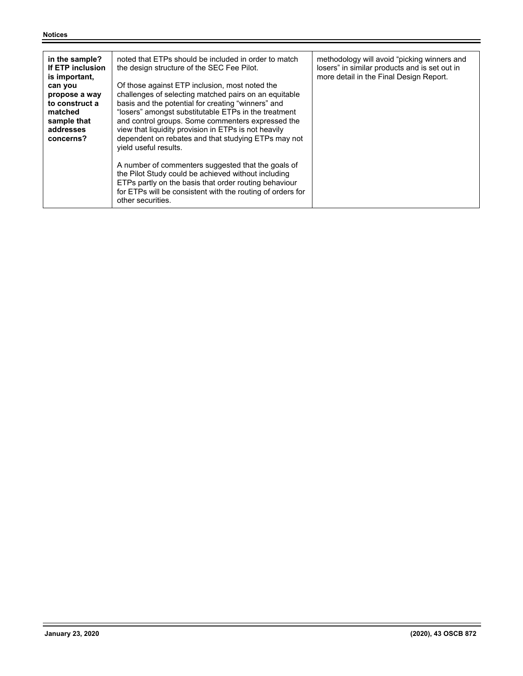| in the sample?<br>If ETP inclusion<br>is important.<br>can you<br>propose a way<br>to construct a<br>matched<br>sample that<br>addresses<br>concerns? | noted that ETPs should be included in order to match<br>the design structure of the SEC Fee Pilot.<br>Of those against ETP inclusion, most noted the<br>challenges of selecting matched pairs on an equitable<br>basis and the potential for creating "winners" and<br>"losers" amongst substitutable ETPs in the treatment<br>and control groups. Some commenters expressed the<br>view that liquidity provision in ETPs is not heavily<br>dependent on rebates and that studying ETPs may not<br>yield useful results. | methodology will avoid "picking winners and<br>losers" in similar products and is set out in<br>more detail in the Final Design Report. |
|-------------------------------------------------------------------------------------------------------------------------------------------------------|--------------------------------------------------------------------------------------------------------------------------------------------------------------------------------------------------------------------------------------------------------------------------------------------------------------------------------------------------------------------------------------------------------------------------------------------------------------------------------------------------------------------------|-----------------------------------------------------------------------------------------------------------------------------------------|
|                                                                                                                                                       | A number of commenters suggested that the goals of<br>the Pilot Study could be achieved without including<br>ETPs partly on the basis that order routing behaviour<br>for ETPs will be consistent with the routing of orders for<br>other securities.                                                                                                                                                                                                                                                                    |                                                                                                                                         |